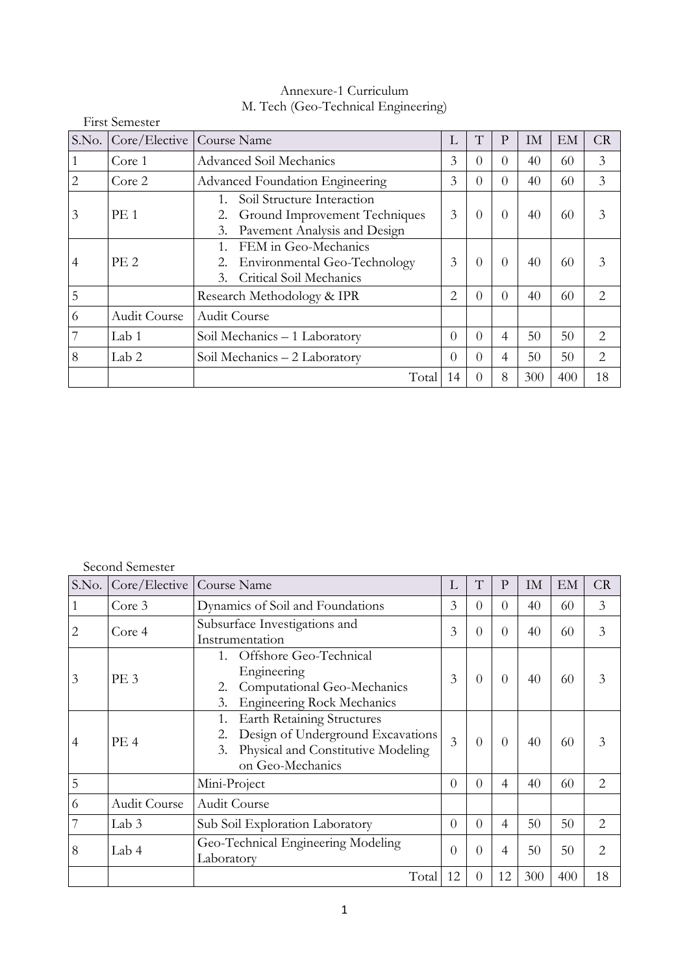| $\frac{1}{100}$ . The state of $\frac{1}{100}$ is a common $\frac{1}{100}$ of $\frac{1}{100}$ is a contract of $\frac{1}{100}$ |                       |                                                                                                         |          |          |          |     |     |                |  |  |
|--------------------------------------------------------------------------------------------------------------------------------|-----------------------|---------------------------------------------------------------------------------------------------------|----------|----------|----------|-----|-----|----------------|--|--|
|                                                                                                                                | <b>First Semester</b> |                                                                                                         |          |          |          |     |     |                |  |  |
| S.No.                                                                                                                          | Core/Elective         | Course Name                                                                                             | L        | T        | P        | IM. | EM  | CR             |  |  |
|                                                                                                                                | Core 1                | Advanced Soil Mechanics                                                                                 | 3        | $\Omega$ | 0        | 40  | 60  | 3              |  |  |
| 2.                                                                                                                             | Core 2                | <b>Advanced Foundation Engineering</b>                                                                  | 3        | $\Omega$ | 0        | 40  | 60  | 3              |  |  |
| 3                                                                                                                              | PE <sub>1</sub>       | Soil Structure Interaction<br>Ground Improvement Techniques<br>2.<br>Pavement Analysis and Design<br>3. | 3        | $\Omega$ | $\Omega$ | 40  | 60  | 3              |  |  |
| 4                                                                                                                              | PE <sub>2</sub>       | FEM in Geo-Mechanics<br>Environmental Geo-Technology<br>2.<br>Critical Soil Mechanics<br>3.             | 3        | $\Omega$ | $\Omega$ | 40  | 60  |                |  |  |
| 5                                                                                                                              |                       | Research Methodology & IPR                                                                              | 2        | $\Omega$ | 0        | 40  | 60  | $\overline{2}$ |  |  |
| 6                                                                                                                              | Audit Course          | <b>Audit Course</b>                                                                                     |          |          |          |     |     |                |  |  |
|                                                                                                                                | Lab 1                 | Soil Mechanics - 1 Laboratory                                                                           | $\theta$ | $\Omega$ | 4        | 50  | 50  | $\overline{2}$ |  |  |
| 8                                                                                                                              | Lab <sub>2</sub>      | Soil Mechanics – 2 Laboratory                                                                           | $\theta$ | $\Omega$ | 4        | 50  | 50  | $\overline{2}$ |  |  |
|                                                                                                                                |                       | Total                                                                                                   | 14       | $\Omega$ | 8        | 300 | 400 | 18             |  |  |

# Annexure-1 Curriculum M. Tech (Geo-Technical Engineering)

# Second Semester

| S.No.          | Core/Elective   | Course Name                                                                                                                            | L              | T        | $\mathbf{P}$ | IM  | EM  | CR             |
|----------------|-----------------|----------------------------------------------------------------------------------------------------------------------------------------|----------------|----------|--------------|-----|-----|----------------|
|                | Core 3          | Dynamics of Soil and Foundations                                                                                                       | 3              | $\Omega$ | $\Omega$     | 40  | 60  | 3              |
|                | Core 4          | Subsurface Investigations and<br>Instrumentation                                                                                       | 3              | $\Omega$ | $\Omega$     | 40  | 60  | 3              |
| 3              | PE <sub>3</sub> | Offshore Geo-Technical<br>$1_{-}$<br>Engineering<br>Computational Geo-Mechanics<br>2.<br><b>Engineering Rock Mechanics</b><br>3.       | 3              | $\Omega$ | $\Omega$     | 40  | 60  | 3              |
| $\overline{4}$ | PE <sub>4</sub> | <b>Earth Retaining Structures</b><br>Design of Underground Excavations<br>Physical and Constitutive Modeling<br>3.<br>on Geo-Mechanics | $\overline{3}$ | $\Omega$ | $\Omega$     | 40  | 60  | 3              |
| 5              |                 | Mini-Project                                                                                                                           | $\Omega$       | $\Omega$ | 4            | 40  | 60  | 2              |
| 6              | Audit Course    | <b>Audit Course</b>                                                                                                                    |                |          |              |     |     |                |
|                | Lab 3           | Sub Soil Exploration Laboratory                                                                                                        | $\Omega$       | $\Omega$ | 4            | 50  | 50  | $\overline{2}$ |
| 8              | Lab 4           | Geo-Technical Engineering Modeling<br>Laboratory                                                                                       | $\theta$       | 0        | 4            | 50  | 50  | 2              |
|                |                 | Total                                                                                                                                  | 12             | $\Omega$ | 12           | 300 | 400 | 18             |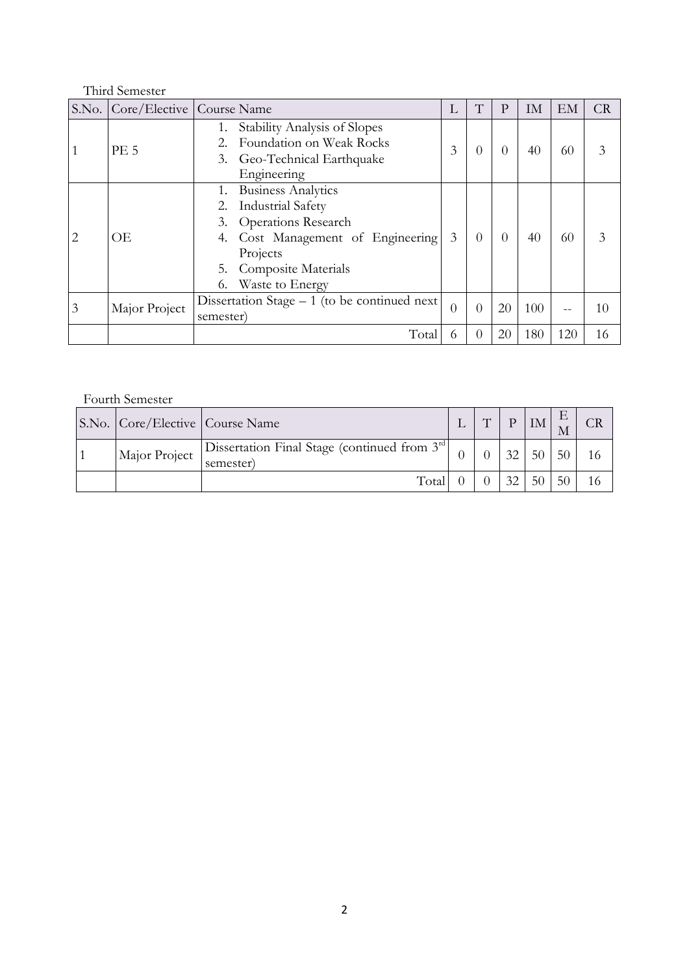# Third Semester

|   | S.No.   Core/Elective   Course Name |           |                                                | Ι.             | T                | P                | IM  | EM  | <b>CR</b> |
|---|-------------------------------------|-----------|------------------------------------------------|----------------|------------------|------------------|-----|-----|-----------|
|   |                                     |           | Stability Analysis of Slopes                   |                |                  |                  |     |     |           |
|   | <b>PE 5</b>                         |           | Foundation on Weak Rocks                       | 3              | 0                |                  | 40  | 60  | 3         |
|   |                                     | 3.        | Geo-Technical Earthquake                       |                |                  |                  |     |     |           |
|   |                                     |           | Engineering                                    |                |                  |                  |     |     |           |
|   |                                     |           | <b>Business Analytics</b>                      |                |                  |                  |     |     |           |
|   | ОE                                  |           | <b>Industrial Safety</b>                       |                | $\Omega$         | $\left( \right)$ | 40  | 60  |           |
|   |                                     | 3.        | <b>Operations Research</b>                     |                |                  |                  |     |     | 3         |
| 2 |                                     | 4.        | Cost Management of Engineering                 | 3              |                  |                  |     |     |           |
|   |                                     |           | Projects                                       |                |                  |                  |     |     |           |
|   |                                     | 5.        | <b>Composite Materials</b>                     |                |                  |                  |     |     |           |
|   |                                     |           | Waste to Energy                                |                |                  |                  |     |     |           |
|   |                                     |           | Dissertation Stage $-1$ (to be continued next) | $\overline{0}$ | 0                | 20               | 100 |     |           |
| 3 | Major Project                       | semester) |                                                |                |                  |                  |     |     | 10        |
|   |                                     |           | Total                                          | 6              | $\left( \right)$ | 20               | 180 | 120 | 16        |

# Fourth Semester

| S.No.   Core/Elective   Course Name |                                                               | H | $\mathbf{D}$ | IM |    |  |
|-------------------------------------|---------------------------------------------------------------|---|--------------|----|----|--|
| Major Project                       | Dissertation Final Stage (continued from $3rd$ )<br>semester) |   | 32           | 50 | 50 |  |
|                                     | Total                                                         |   | 32           | 50 | 50 |  |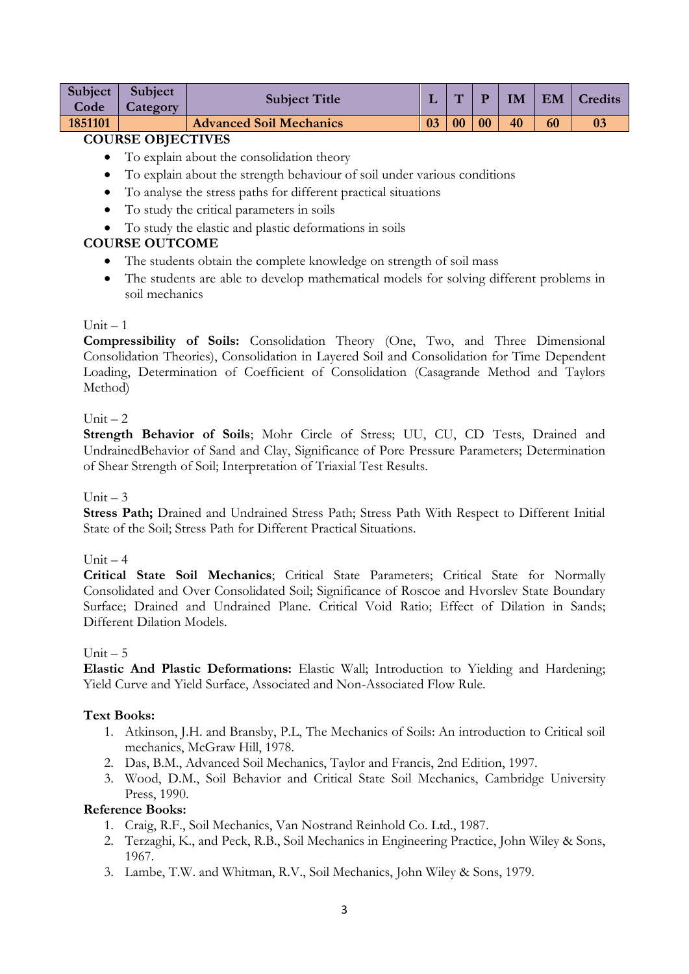|         | Subject Subject | <b>Subject Title</b>           |    | $\mathbf{H}$ | $\mathbf{P}$ |    |    | IM   EM   Credits |
|---------|-----------------|--------------------------------|----|--------------|--------------|----|----|-------------------|
| Code    | Category        |                                |    |              |              |    |    |                   |
| 1851101 |                 | <b>Advanced Soil Mechanics</b> | 03 | $\vert$ 00   | $\bf{00}$    | 40 | 60 |                   |

- To explain about the consolidation theory
- To explain about the strength behaviour of soil under various conditions
- To analyse the stress paths for different practical situations
- To study the critical parameters in soils
- To study the elastic and plastic deformations in soils

# **COURSE OUTCOME**

- The students obtain the complete knowledge on strength of soil mass
- The students are able to develop mathematical models for solving different problems in soil mechanics

### $Unit = 1$

**Compressibility of Soils:** Consolidation Theory (One, Two, and Three Dimensional Consolidation Theories), Consolidation in Layered Soil and Consolidation for Time Dependent Loading, Determination of Coefficient of Consolidation (Casagrande Method and Taylors Method)

### Unit  $-2$

**Strength Behavior of Soils**; Mohr Circle of Stress; UU, CU, CD Tests, Drained and UndrainedBehavior of Sand and Clay, Significance of Pore Pressure Parameters; Determination of Shear Strength of Soil; Interpretation of Triaxial Test Results.

#### Unit  $-3$

**Stress Path;** Drained and Undrained Stress Path; Stress Path With Respect to Different Initial State of the Soil; Stress Path for Different Practical Situations.

### $Unit - 4$

**Critical State Soil Mechanics**; Critical State Parameters; Critical State for Normally Consolidated and Over Consolidated Soil; Significance of Roscoe and Hvorslev State Boundary Surface; Drained and Undrained Plane. Critical Void Ratio; Effect of Dilation in Sands; Different Dilation Models.

#### Unit  $-5$

**Elastic And Plastic Deformations:** Elastic Wall; Introduction to Yielding and Hardening; Yield Curve and Yield Surface, Associated and Non-Associated Flow Rule.

### **Text Books:**

- 1. Atkinson, J.H. and Bransby, P.L, The Mechanics of Soils: An introduction to Critical soil mechanics, McGraw Hill, 1978.
- 2. Das, B.M., Advanced Soil Mechanics, Taylor and Francis, 2nd Edition, 1997.
- 3. Wood, D.M., Soil Behavior and Critical State Soil Mechanics, Cambridge University Press, 1990.

- 1. Craig, R.F., Soil Mechanics, Van Nostrand Reinhold Co. Ltd., 1987.
- 2. Terzaghi, K., and Peck, R.B., Soil Mechanics in Engineering Practice, John Wiley & Sons, 1967.
- 3. Lambe, T.W. and Whitman, R.V., Soil Mechanics, John Wiley & Sons, 1979.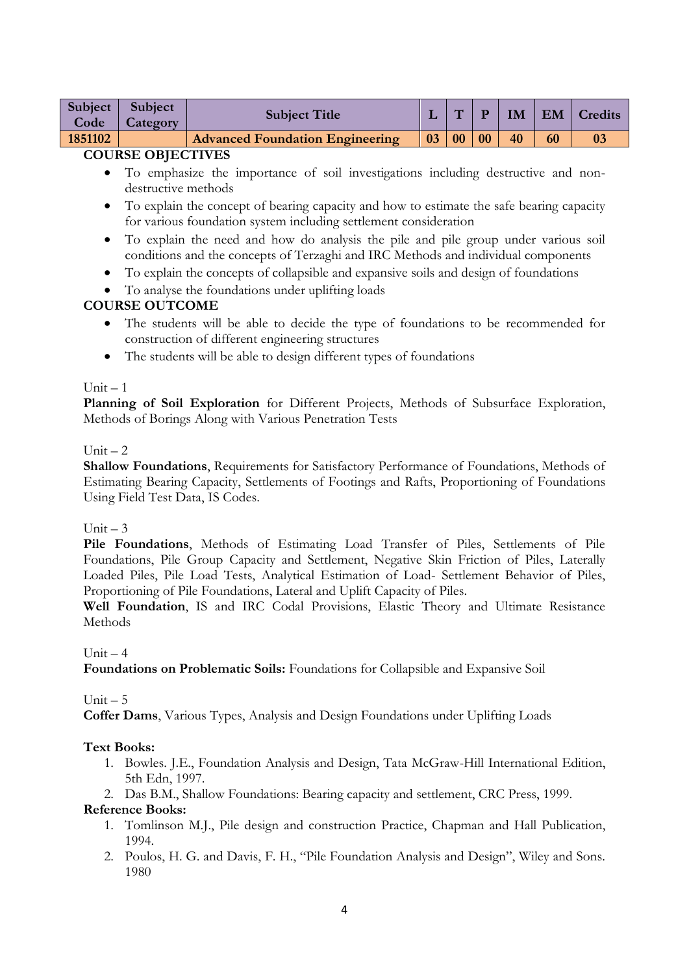| Subject $\vert$<br>Code | Subject<br>Category | <b>Subject Title</b>                   |              | $\mathbf{H}$ | $\mathbf{P}$ |    |    | IM   EM   Credits |
|-------------------------|---------------------|----------------------------------------|--------------|--------------|--------------|----|----|-------------------|
| 1851102                 |                     | <b>Advanced Foundation Engineering</b> | $03 \mid 00$ |              | 00           | 40 | 60 |                   |

- To emphasize the importance of soil investigations including destructive and nondestructive methods
- To explain the concept of bearing capacity and how to estimate the safe bearing capacity for various foundation system including settlement consideration
- To explain the need and how do analysis the pile and pile group under various soil conditions and the concepts of Terzaghi and IRC Methods and individual components
- To explain the concepts of collapsible and expansive soils and design of foundations
- To analyse the foundations under uplifting loads

## **COURSE OUTCOME**

- The students will be able to decide the type of foundations to be recommended for construction of different engineering structures
- The students will be able to design different types of foundations

#### $Unit - 1$

**Planning of Soil Exploration** for Different Projects, Methods of Subsurface Exploration, Methods of Borings Along with Various Penetration Tests

#### $Unit - 2$

**Shallow Foundations**, Requirements for Satisfactory Performance of Foundations, Methods of Estimating Bearing Capacity, Settlements of Footings and Rafts, Proportioning of Foundations Using Field Test Data, IS Codes.

### Unit  $-3$

**Pile Foundations**, Methods of Estimating Load Transfer of Piles, Settlements of Pile Foundations, Pile Group Capacity and Settlement, Negative Skin Friction of Piles, Laterally Loaded Piles, Pile Load Tests, Analytical Estimation of Load- Settlement Behavior of Piles, Proportioning of Pile Foundations, Lateral and Uplift Capacity of Piles.

**Well Foundation**, IS and IRC Codal Provisions, Elastic Theory and Ultimate Resistance Methods

Unit  $-4$ 

**Foundations on Problematic Soils:** Foundations for Collapsible and Expansive Soil

Unit  $-5$ 

**Coffer Dams**, Various Types, Analysis and Design Foundations under Uplifting Loads

### **Text Books:**

- 1. Bowles. J.E., Foundation Analysis and Design, Tata McGraw-Hill International Edition, 5th Edn, 1997.
- 2. Das B.M., Shallow Foundations: Bearing capacity and settlement, CRC Press, 1999.

- 1. Tomlinson M.J., Pile design and construction Practice, Chapman and Hall Publication, 1994.
- 2. Poulos, H. G. and Davis, F. H., "Pile Foundation Analysis and Design", Wiley and Sons. 1980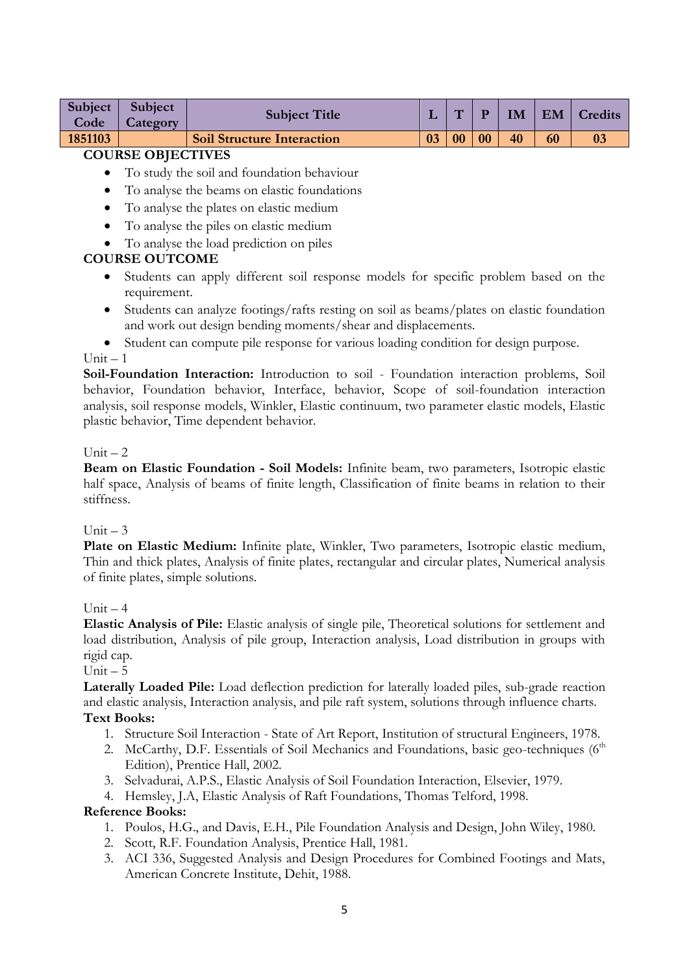| Subject  <br>Code | <b>Subject</b><br><b>Category</b> | <b>Subject Title</b>              |    | $\overline{\phantom{a}}$ |    | <b>IM</b> | EM | <b>Credits</b> |
|-------------------|-----------------------------------|-----------------------------------|----|--------------------------|----|-----------|----|----------------|
| 1851103           |                                   | <b>Soil Structure Interaction</b> | 03 | 00                       | 00 | 40        | 60 | 0 <sup>3</sup> |

- To study the soil and foundation behaviour
- To analyse the beams on elastic foundations
- To analyse the plates on elastic medium
- To analyse the piles on elastic medium
- To analyse the load prediction on piles

### **COURSE OUTCOME**

- Students can apply different soil response models for specific problem based on the requirement.
- Students can analyze footings/rafts resting on soil as beams/plates on elastic foundation and work out design bending moments/shear and displacements.
- Student can compute pile response for various loading condition for design purpose.

#### $Unit - 1$

Soil-Foundation Interaction: Introduction to soil - Foundation interaction problems, Soil behavior, Foundation behavior, Interface, behavior, Scope of soil-foundation interaction analysis, soil response models, Winkler, Elastic continuum, two parameter elastic models, Elastic plastic behavior, Time dependent behavior.

#### $Unit = 2$

**Beam on Elastic Foundation - Soil Models:** Infinite beam, two parameters, Isotropic elastic half space, Analysis of beams of finite length, Classification of finite beams in relation to their stiffness.

### $Unit = 3$

Plate on Elastic Medium: Infinite plate, Winkler, Two parameters, Isotropic elastic medium, Thin and thick plates, Analysis of finite plates, rectangular and circular plates, Numerical analysis of finite plates, simple solutions.

### $Unit = 4$

**Elastic Analysis of Pile:** Elastic analysis of single pile, Theoretical solutions for settlement and load distribution, Analysis of pile group, Interaction analysis, Load distribution in groups with rigid cap.

### Unit  $-5$

**Laterally Loaded Pile:** Load deflection prediction for laterally loaded piles, sub-grade reaction and elastic analysis, Interaction analysis, and pile raft system, solutions through influence charts.

# **Text Books:**

- 1. Structure Soil Interaction State of Art Report, Institution of structural Engineers, 1978.
- 2. McCarthy, D.F. Essentials of Soil Mechanics and Foundations, basic geo-techniques (6<sup>th</sup>) Edition), Prentice Hall, 2002.
- 3. Selvadurai, A.P.S., Elastic Analysis of Soil Foundation Interaction, Elsevier, 1979.
- 4. Hemsley, J.A, Elastic Analysis of Raft Foundations, Thomas Telford, 1998.

- 1. Poulos, H.G., and Davis, E.H., Pile Foundation Analysis and Design, John Wiley, 1980.
- 2. Scott, R.F. Foundation Analysis, Prentice Hall, 1981.
- 3. ACI 336, Suggested Analysis and Design Procedures for Combined Footings and Mats, American Concrete Institute, Dehit, 1988.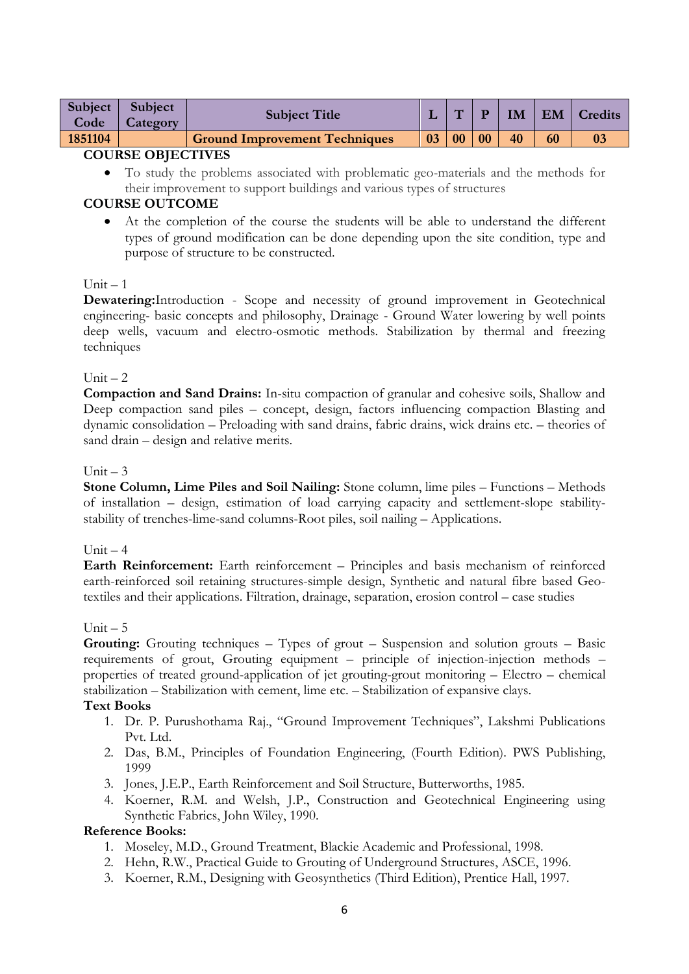| <b>Subject</b><br>Code | <b>Subject</b><br><i>category</i> | <b>Subject Title</b>                 |    | $\overline{\phantom{a}}$ |    | IМ | EM | Credits |
|------------------------|-----------------------------------|--------------------------------------|----|--------------------------|----|----|----|---------|
| 1851104                |                                   | <b>Ground Improvement Techniques</b> | 03 | 00                       | 00 | 40 | 60 |         |
| COURSE OBJECTIVES      |                                   |                                      |    |                          |    |    |    |         |

 To study the problems associated with problematic geo-materials and the methods for their improvement to support buildings and various types of structures

## **COURSE OUTCOME**

 At the completion of the course the students will be able to understand the different types of ground modification can be done depending upon the site condition, type and purpose of structure to be constructed.

### Unit – 1

**Dewatering:**Introduction - Scope and necessity of ground improvement in Geotechnical engineering- basic concepts and philosophy, Drainage - Ground Water lowering by well points deep wells, vacuum and electro-osmotic methods. Stabilization by thermal and freezing techniques

#### Unit  $-2$

**Compaction and Sand Drains:** In-situ compaction of granular and cohesive soils, Shallow and Deep compaction sand piles – concept, design, factors influencing compaction Blasting and dynamic consolidation – Preloading with sand drains, fabric drains, wick drains etc. – theories of sand drain – design and relative merits.

#### Unit  $-3$

**Stone Column, Lime Piles and Soil Nailing:** Stone column, lime piles – Functions – Methods of installation – design, estimation of load carrying capacity and settlement-slope stabilitystability of trenches-lime-sand columns-Root piles, soil nailing – Applications.

### Unit  $-4$

**Earth Reinforcement:** Earth reinforcement – Principles and basis mechanism of reinforced earth-reinforced soil retaining structures-simple design, Synthetic and natural fibre based Geotextiles and their applications. Filtration, drainage, separation, erosion control – case studies

#### Unit  $-5$

**Grouting:** Grouting techniques – Types of grout – Suspension and solution grouts – Basic requirements of grout, Grouting equipment – principle of injection-injection methods – properties of treated ground-application of jet grouting-grout monitoring – Electro – chemical stabilization – Stabilization with cement, lime etc. – Stabilization of expansive clays.

#### **Text Books**

- 1. Dr. P. Purushothama Raj., "Ground Improvement Techniques", Lakshmi Publications Pvt. Ltd.
- 2. Das, B.M., Principles of Foundation Engineering, (Fourth Edition). PWS Publishing, 1999
- 3. Jones, J.E.P., Earth Reinforcement and Soil Structure, Butterworths, 1985.
- 4. Koerner, R.M. and Welsh, J.P., Construction and Geotechnical Engineering using Synthetic Fabrics, John Wiley, 1990.

- 1. Moseley, M.D., Ground Treatment, Blackie Academic and Professional, 1998.
- 2. Hehn, R.W., Practical Guide to Grouting of Underground Structures, ASCE, 1996.
- 3. Koerner, R.M., Designing with Geosynthetics (Third Edition), Prentice Hall, 1997.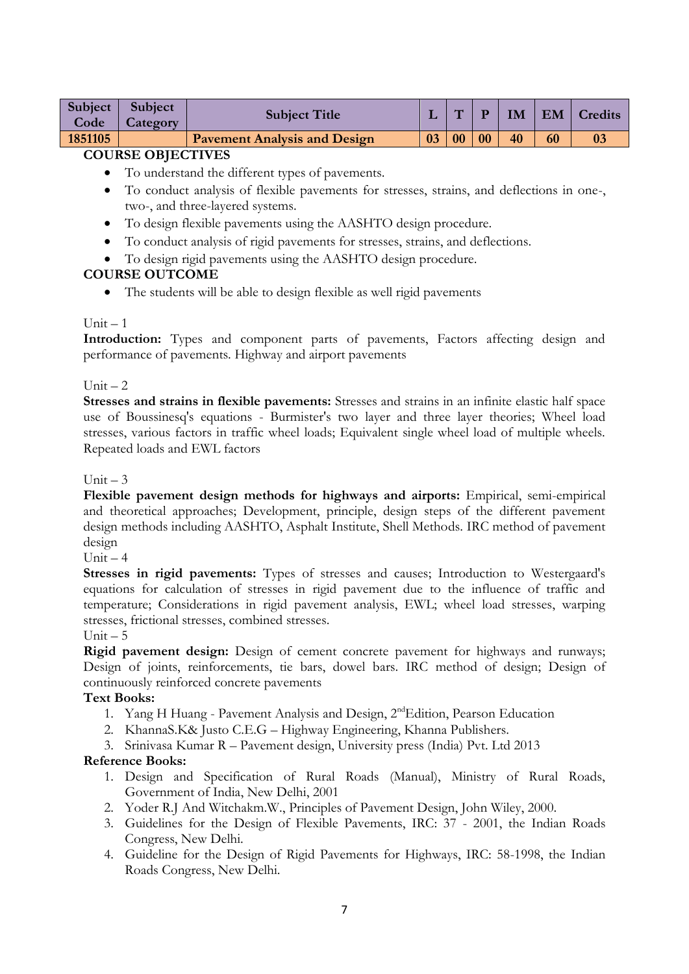| Subject  <br>Code | Subject<br>Category | <b>Subject Title</b>                |    | $\overline{\phantom{0}}$ | D  | IM |    | EM   Credits |
|-------------------|---------------------|-------------------------------------|----|--------------------------|----|----|----|--------------|
| 1851105           |                     | <b>Pavement Analysis and Design</b> | 03 | 0 <sub>0</sub>           | 00 | 40 | 60 |              |

- To understand the different types of pavements.
- To conduct analysis of flexible pavements for stresses, strains, and deflections in one-, two-, and three-layered systems.
- To design flexible pavements using the AASHTO design procedure.
- To conduct analysis of rigid pavements for stresses, strains, and deflections.
- To design rigid pavements using the AASHTO design procedure.

# **COURSE OUTCOME**

The students will be able to design flexible as well rigid pavements

# $Unit - 1$

**Introduction:** Types and component parts of pavements, Factors affecting design and performance of pavements. Highway and airport pavements

# Unit  $-2$

**Stresses and strains in flexible pavements:** Stresses and strains in an infinite elastic half space use of Boussinesq's equations - Burmister's two layer and three layer theories; Wheel load stresses, various factors in traffic wheel loads; Equivalent single wheel load of multiple wheels. Repeated loads and EWL factors

## Unit  $-3$

**Flexible pavement design methods for highways and airports:** Empirical, semi-empirical and theoretical approaches; Development, principle, design steps of the different pavement design methods including AASHTO, Asphalt Institute, Shell Methods. IRC method of pavement design

 $Unit - 4$ 

**Stresses in rigid pavements:** Types of stresses and causes; Introduction to Westergaard's equations for calculation of stresses in rigid pavement due to the influence of traffic and temperature; Considerations in rigid pavement analysis, EWL; wheel load stresses, warping stresses, frictional stresses, combined stresses.

### Unit  $-5$

**Rigid pavement design:** Design of cement concrete pavement for highways and runways; Design of joints, reinforcements, tie bars, dowel bars. IRC method of design; Design of continuously reinforced concrete pavements

# **Text Books:**

- 1. Yang H Huang Pavement Analysis and Design, 2ndEdition, Pearson Education
- 2. KhannaS.K& Justo C.E.G Highway Engineering, Khanna Publishers.
- 3. Srinivasa Kumar R Pavement design, University press (India) Pvt. Ltd 2013

- 1. Design and Specification of Rural Roads (Manual), Ministry of Rural Roads, Government of India, New Delhi, 2001
- 2. Yoder R.J And Witchakm.W., Principles of Pavement Design, John Wiley, 2000.
- 3. Guidelines for the Design of Flexible Pavements, IRC: 37 2001, the Indian Roads Congress, New Delhi.
- 4. Guideline for the Design of Rigid Pavements for Highways, IRC: 58-1998, the Indian Roads Congress, New Delhi.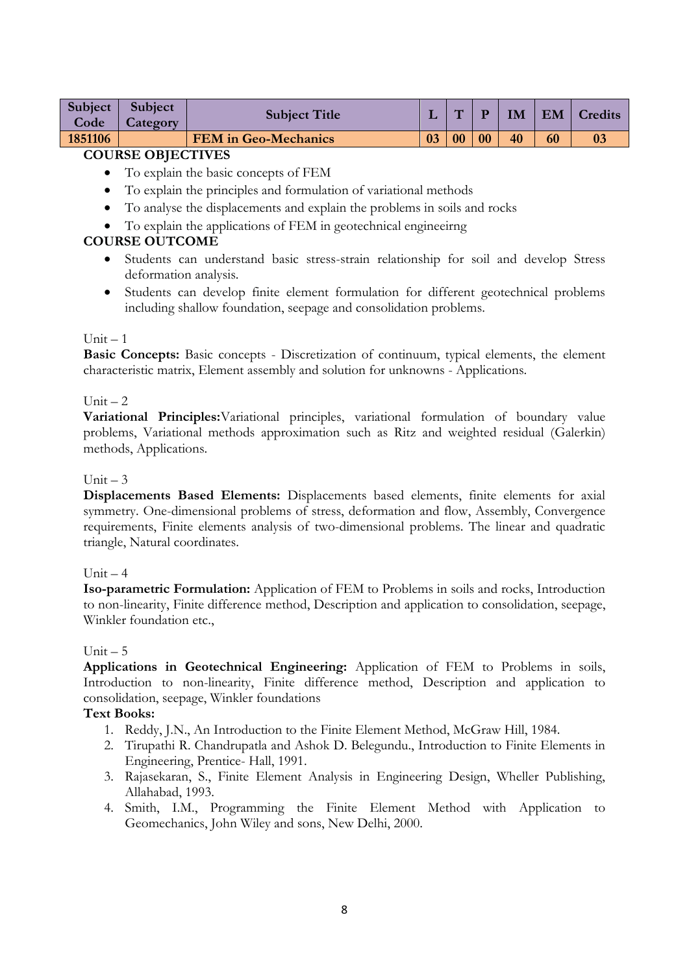| Subject | Subject  | <b>Subject Title</b>        |    | $\sqrt{2}$ |    | <b>IM</b> | EM | Credits |
|---------|----------|-----------------------------|----|------------|----|-----------|----|---------|
| Code    | Category |                             |    |            |    |           |    |         |
| 1851106 |          | <b>FEM</b> in Geo-Mechanics | 03 | 00         | 00 | 40        | 60 |         |

- To explain the basic concepts of FEM
- To explain the principles and formulation of variational methods
- To analyse the displacements and explain the problems in soils and rocks
- To explain the applications of FEM in geotechnical engineeirng

## **COURSE OUTCOME**

- Students can understand basic stress-strain relationship for soil and develop Stress deformation analysis.
- Students can develop finite element formulation for different geotechnical problems including shallow foundation, seepage and consolidation problems.

### $Unit - 1$

**Basic Concepts:** Basic concepts - Discretization of continuum, typical elements, the element characteristic matrix, Element assembly and solution for unknowns - Applications.

### Unit  $-2$

**Variational Principles:**Variational principles, variational formulation of boundary value problems, Variational methods approximation such as Ritz and weighted residual (Galerkin) methods, Applications.

#### Unit  $-3$

**Displacements Based Elements:** Displacements based elements, finite elements for axial symmetry. One-dimensional problems of stress, deformation and flow, Assembly, Convergence requirements, Finite elements analysis of two-dimensional problems. The linear and quadratic triangle, Natural coordinates.

#### Unit  $-4$

**Iso-parametric Formulation:** Application of FEM to Problems in soils and rocks, Introduction to non-linearity, Finite difference method, Description and application to consolidation, seepage, Winkler foundation etc.,

#### $Unit - 5$

**Applications in Geotechnical Engineering:** Application of FEM to Problems in soils, Introduction to non-linearity, Finite difference method, Description and application to consolidation, seepage, Winkler foundations

### **Text Books:**

- 1. Reddy, J.N., An Introduction to the Finite Element Method, McGraw Hill, 1984.
- 2. Tirupathi R. Chandrupatla and Ashok D. Belegundu., Introduction to Finite Elements in Engineering, Prentice- Hall, 1991.
- 3. Rajasekaran, S., Finite Element Analysis in Engineering Design, Wheller Publishing, Allahabad, 1993.
- 4. Smith, I.M., Programming the Finite Element Method with Application to Geomechanics, John Wiley and sons, New Delhi, 2000.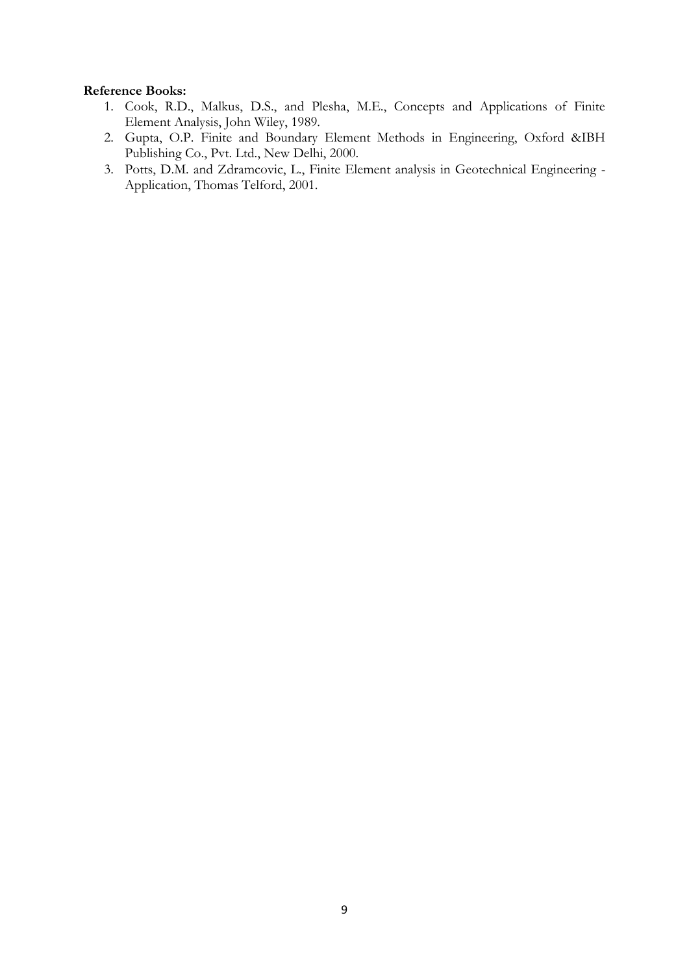- 1. Cook, R.D., Malkus, D.S., and Plesha, M.E., Concepts and Applications of Finite Element Analysis, John Wiley, 1989.
- 2. Gupta, O.P. Finite and Boundary Element Methods in Engineering, Oxford &IBH Publishing Co., Pvt. Ltd., New Delhi, 2000.
- 3. Potts, D.M. and Zdramcovic, L., Finite Element analysis in Geotechnical Engineering Application, Thomas Telford, 2001.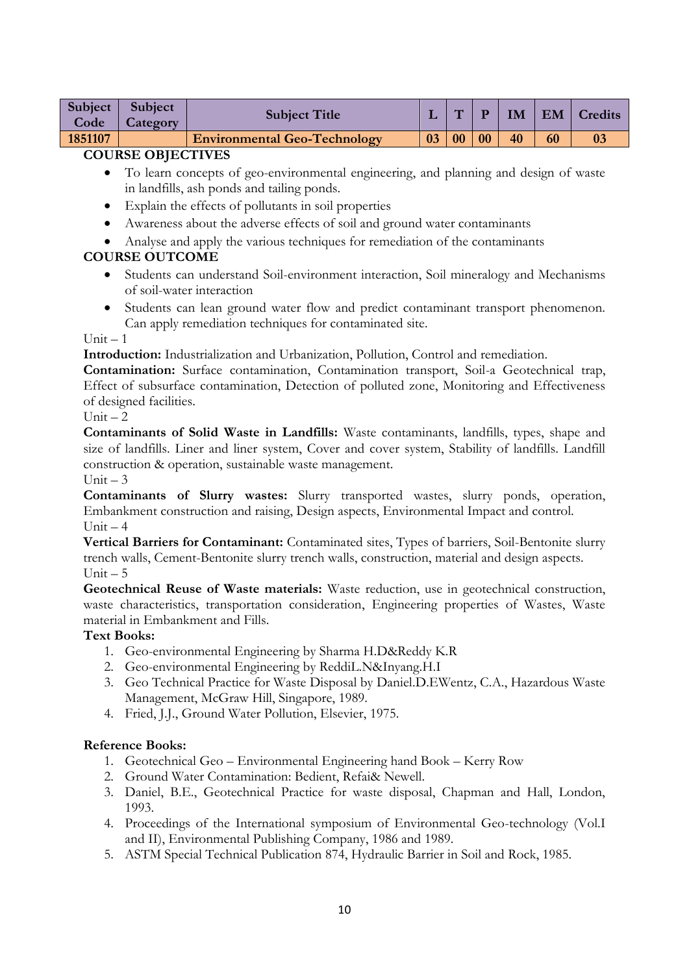| Subject  <br>Code | Subject<br>Category | <b>Subject Title</b>                |    | $\mathbf{H}$ | $\blacksquare$ |    |    | <b>IM   EM   Credits</b> |
|-------------------|---------------------|-------------------------------------|----|--------------|----------------|----|----|--------------------------|
| 1851107           |                     | <b>Environmental Geo-Technology</b> | 03 | 00           | 00             | 40 | 60 |                          |

- To learn concepts of geo-environmental engineering, and planning and design of waste in landfills, ash ponds and tailing ponds.
- Explain the effects of pollutants in soil properties
- Awareness about the adverse effects of soil and ground water contaminants
- Analyse and apply the various techniques for remediation of the contaminants

## **COURSE OUTCOME**

- Students can understand Soil-environment interaction, Soil mineralogy and Mechanisms of soil-water interaction
- Students can lean ground water flow and predict contaminant transport phenomenon. Can apply remediation techniques for contaminated site.

#### $Unit - 1$

**Introduction:** Industrialization and Urbanization, Pollution, Control and remediation.

**Contamination:** Surface contamination, Contamination transport, Soil-a Geotechnical trap, Effect of subsurface contamination, Detection of polluted zone, Monitoring and Effectiveness of designed facilities.

#### $Unit = 2$

**Contaminants of Solid Waste in Landfills:** Waste contaminants, landfills, types, shape and size of landfills. Liner and liner system, Cover and cover system, Stability of landfills. Landfill construction & operation, sustainable waste management.

### Unit  $-3$

**Contaminants of Slurry wastes:** Slurry transported wastes, slurry ponds, operation, Embankment construction and raising, Design aspects, Environmental Impact and control. Unit  $-4$ 

**Vertical Barriers for Contaminant:** Contaminated sites, Types of barriers, Soil-Bentonite slurry trench walls, Cement-Bentonite slurry trench walls, construction, material and design aspects.  $Unit - 5$ 

**Geotechnical Reuse of Waste materials:** Waste reduction, use in geotechnical construction, waste characteristics, transportation consideration, Engineering properties of Wastes, Waste material in Embankment and Fills.

### **Text Books:**

- 1. Geo-environmental Engineering by Sharma H.D&Reddy K.R
- 2. Geo-environmental Engineering by ReddiL.N&Inyang.H.I
- 3. Geo Technical Practice for Waste Disposal by Daniel.D.EWentz, C.A., Hazardous Waste Management, McGraw Hill, Singapore, 1989.
- 4. Fried, J.J., Ground Water Pollution, Elsevier, 1975.

- 1. Geotechnical Geo Environmental Engineering hand Book Kerry Row
- 2. Ground Water Contamination: Bedient, Refai& Newell.
- 3. Daniel, B.E., Geotechnical Practice for waste disposal, Chapman and Hall, London, 1993.
- 4. Proceedings of the International symposium of Environmental Geo-technology (Vol.I and II), Environmental Publishing Company, 1986 and 1989.
- 5. ASTM Special Technical Publication 874, Hydraulic Barrier in Soil and Rock, 1985.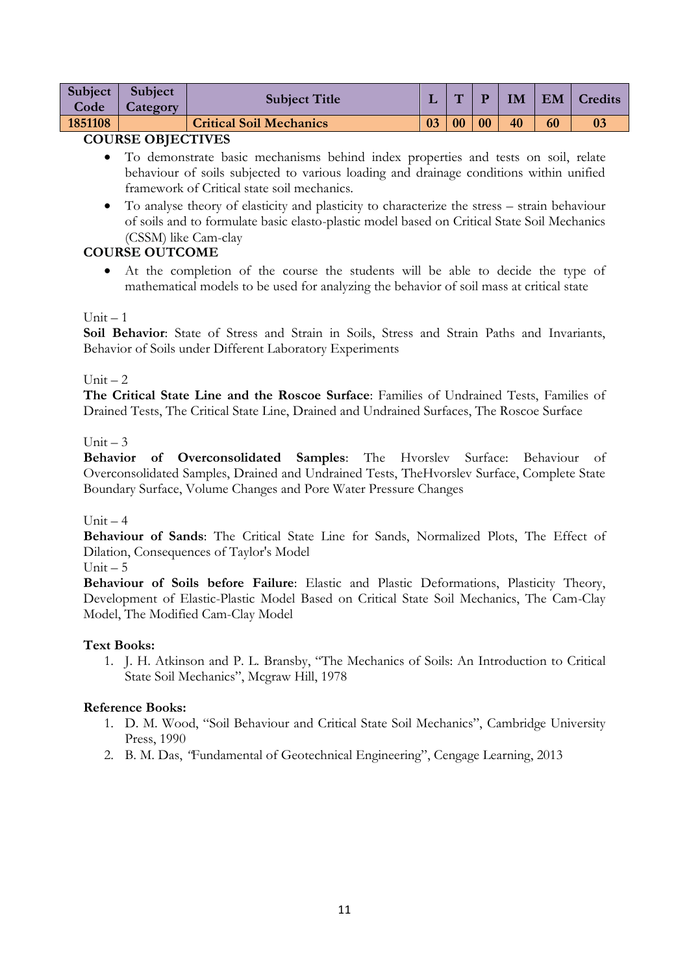|         | Subject Subject | <b>Subject Title</b>           |    | $\mathbf{H}$ | D  | IM | EM | Credits |
|---------|-----------------|--------------------------------|----|--------------|----|----|----|---------|
| Code    | <b>Category</b> |                                |    |              |    |    |    |         |
| 1851108 |                 | <b>Critical Soil Mechanics</b> | 03 | 00           | 00 | 40 | 60 | 03      |

- To demonstrate basic mechanisms behind index properties and tests on soil, relate behaviour of soils subjected to various loading and drainage conditions within unified framework of Critical state soil mechanics.
- To analyse theory of elasticity and plasticity to characterize the stress strain behaviour of soils and to formulate basic elasto-plastic model based on Critical State Soil Mechanics (CSSM) like Cam-clay

# **COURSE OUTCOME**

 At the completion of the course the students will be able to decide the type of mathematical models to be used for analyzing the behavior of soil mass at critical state

# Unit  $-1$

**Soil Behavior**: State of Stress and Strain in Soils, Stress and Strain Paths and Invariants, Behavior of Soils under Different Laboratory Experiments

## Unit  $-2$

**The Critical State Line and the Roscoe Surface**: Families of Undrained Tests, Families of Drained Tests, The Critical State Line, Drained and Undrained Surfaces, The Roscoe Surface

## $Unit = 3$

**Behavior of Overconsolidated Samples**: The Hvorslev Surface: Behaviour of Overconsolidated Samples, Drained and Undrained Tests, TheHvorslev Surface, Complete State Boundary Surface, Volume Changes and Pore Water Pressure Changes

### $Unit = 4$

**Behaviour of Sands**: The Critical State Line for Sands, Normalized Plots, The Effect of Dilation, Consequences of Taylor's Model

## $Unit - 5$

**Behaviour of Soils before Failure**: Elastic and Plastic Deformations, Plasticity Theory, Development of Elastic-Plastic Model Based on Critical State Soil Mechanics, The Cam-Clay Model, The Modified Cam-Clay Model

### **Text Books:**

1. J. H. Atkinson and P. L. Bransby, "The Mechanics of Soils: An Introduction to Critical State Soil Mechanics", Mcgraw Hill, 1978

- 1. D. M. Wood, "Soil Behaviour and Critical State Soil Mechanics", Cambridge University Press, 1990
- 2. B. M. Das, *"*Fundamental of Geotechnical Engineering", Cengage Learning, 2013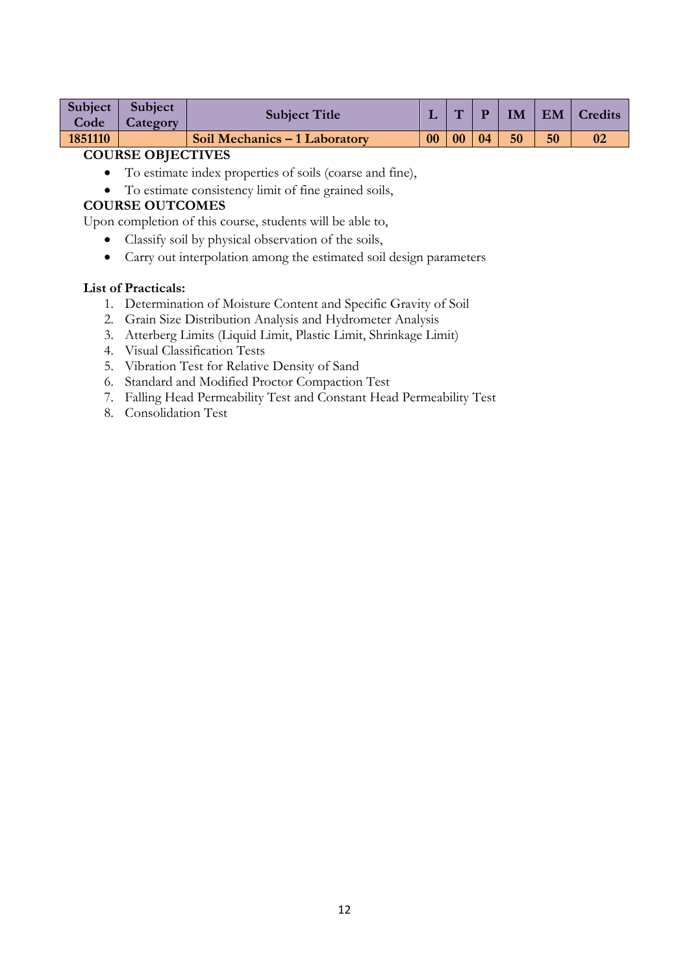| Subject  <br>Code | <b>Subject</b><br><b>Category</b> | <b>Subject Title</b>          |    | $\overline{ }$ |    | <b>IM</b> |    | EM   Credits |
|-------------------|-----------------------------------|-------------------------------|----|----------------|----|-----------|----|--------------|
| 1851110           |                                   | Soil Mechanics - 1 Laboratory | 00 | 00             | 04 | 50        | 50 | 02           |

- To estimate index properties of soils (coarse and fine),
- To estimate consistency limit of fine grained soils,

## **COURSE OUTCOMES**

Upon completion of this course, students will be able to,

- Classify soil by physical observation of the soils,
- Carry out interpolation among the estimated soil design parameters

#### **List of Practicals:**

- 1. Determination of Moisture Content and Specific Gravity of Soil
- 2. Grain Size Distribution Analysis and Hydrometer Analysis
- 3. Atterberg Limits (Liquid Limit, Plastic Limit, Shrinkage Limit)
- 4. Visual Classification Tests
- 5. Vibration Test for Relative Density of Sand
- 6. Standard and Modified Proctor Compaction Test
- 7. Falling Head Permeability Test and Constant Head Permeability Test
- 8. Consolidation Test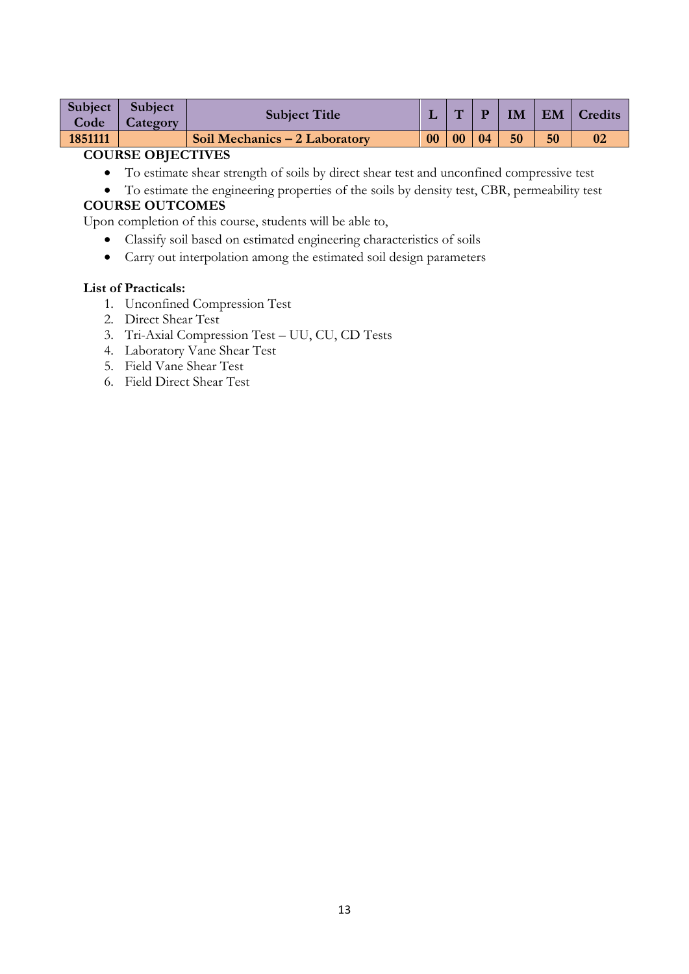| Subject<br>Code | <b>Subject</b><br>Category | <b>Subject Title</b>          |           | $\overline{\phantom{0}}$ |    | IM | EM | Credits |
|-----------------|----------------------------|-------------------------------|-----------|--------------------------|----|----|----|---------|
| 1851111         |                            | Soil Mechanics – 2 Laboratory | $\bf{00}$ | 0 <sub>0</sub>           | 04 | 50 | 50 |         |
|                 |                            |                               |           |                          |    |    |    |         |

- To estimate shear strength of soils by direct shear test and unconfined compressive test
- To estimate the engineering properties of the soils by density test, CBR, permeability test

# **COURSE OUTCOMES**

Upon completion of this course, students will be able to,

- Classify soil based on estimated engineering characteristics of soils
- Carry out interpolation among the estimated soil design parameters

### **List of Practicals:**

- 1. Unconfined Compression Test
- 2. Direct Shear Test
- 3. Tri-Axial Compression Test UU, CU, CD Tests
- 4. Laboratory Vane Shear Test
- 5. Field Vane Shear Test
- 6. Field Direct Shear Test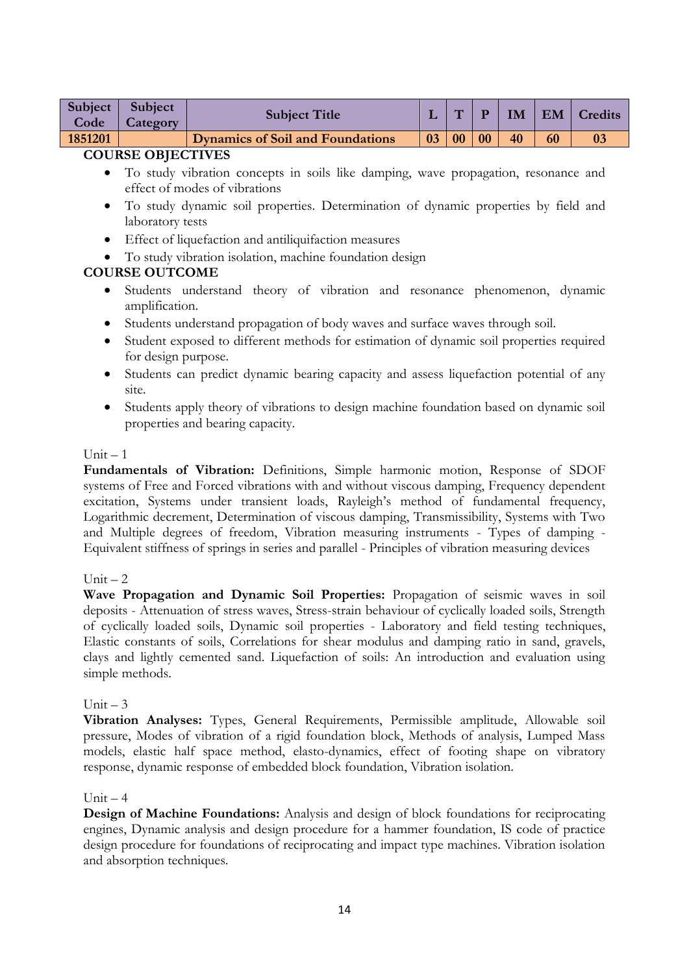| <b>Subject</b><br>Code | <b>Subject</b><br>Category | <b>Subject Title</b>                    |    | $\overline{\phantom{0}}$ |    | IM | <b>EM</b> | <b>Credits</b> |
|------------------------|----------------------------|-----------------------------------------|----|--------------------------|----|----|-----------|----------------|
| 1851201                |                            | <b>Dynamics of Soil and Foundations</b> | 03 | 0 <sub>0</sub>           | 00 | 40 | 60        |                |
|                        |                            |                                         |    |                          |    |    |           |                |

- To study vibration concepts in soils like damping, wave propagation, resonance and effect of modes of vibrations
- To study dynamic soil properties. Determination of dynamic properties by field and laboratory tests
- Effect of liquefaction and antiliquifaction measures
- To study vibration isolation, machine foundation design

## **COURSE OUTCOME**

- Students understand theory of vibration and resonance phenomenon, dynamic amplification.
- Students understand propagation of body waves and surface waves through soil.
- Student exposed to different methods for estimation of dynamic soil properties required for design purpose.
- Students can predict dynamic bearing capacity and assess liquefaction potential of any site.
- Students apply theory of vibrations to design machine foundation based on dynamic soil properties and bearing capacity.

#### $Unit - 1$

**Fundamentals of Vibration:** Definitions, Simple harmonic motion, Response of SDOF systems of Free and Forced vibrations with and without viscous damping, Frequency dependent excitation, Systems under transient loads, Rayleigh's method of fundamental frequency, Logarithmic decrement, Determination of viscous damping, Transmissibility, Systems with Two and Multiple degrees of freedom, Vibration measuring instruments - Types of damping - Equivalent stiffness of springs in series and parallel - Principles of vibration measuring devices

### Unit  $-2$

**Wave Propagation and Dynamic Soil Properties:** Propagation of seismic waves in soil deposits - Attenuation of stress waves, Stress-strain behaviour of cyclically loaded soils, Strength of cyclically loaded soils, Dynamic soil properties - Laboratory and field testing techniques, Elastic constants of soils, Correlations for shear modulus and damping ratio in sand, gravels, clays and lightly cemented sand. Liquefaction of soils: An introduction and evaluation using simple methods.

### Unit  $-3$

**Vibration Analyses:** Types, General Requirements, Permissible amplitude, Allowable soil pressure, Modes of vibration of a rigid foundation block, Methods of analysis, Lumped Mass models, elastic half space method, elasto-dynamics, effect of footing shape on vibratory response, dynamic response of embedded block foundation, Vibration isolation.

### Unit  $-4$

**Design of Machine Foundations:** Analysis and design of block foundations for reciprocating engines, Dynamic analysis and design procedure for a hammer foundation, IS code of practice design procedure for foundations of reciprocating and impact type machines. Vibration isolation and absorption techniques.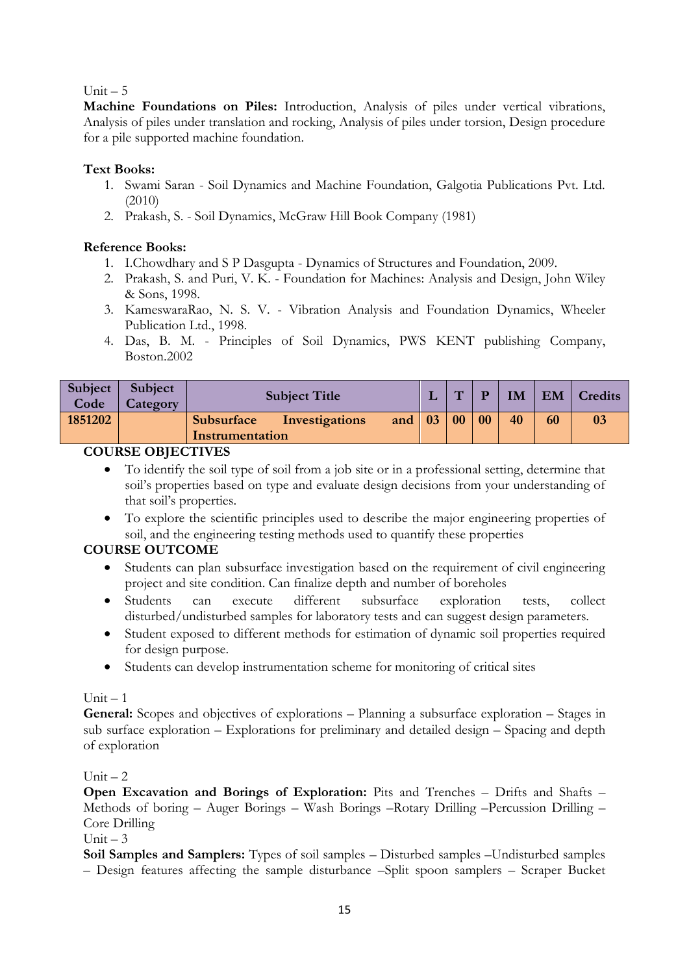## Unit  $-5$

**Machine Foundations on Piles:** Introduction, Analysis of piles under vertical vibrations, Analysis of piles under translation and rocking, Analysis of piles under torsion, Design procedure for a pile supported machine foundation.

## **Text Books:**

- 1. Swami Saran Soil Dynamics and Machine Foundation, Galgotia Publications Pvt. Ltd.  $(2010)$
- 2. Prakash, S. Soil Dynamics, McGraw Hill Book Company (1981)

## **Reference Books:**

- 1. I.Chowdhary and S P Dasgupta Dynamics of Structures and Foundation, 2009.
- 2. Prakash, S. and Puri, V. K. Foundation for Machines: Analysis and Design, John Wiley & Sons, 1998.
- 3. KameswaraRao, N. S. V. Vibration Analysis and Foundation Dynamics, Wheeler Publication Ltd., 1998.
- 4. Das, B. M. Principles of Soil Dynamics, PWS KENT publishing Company, Boston.2002

| Subject<br>Code | Subject<br>Category |                 | <b>Subject Title</b>      |                | <b>TT</b> | D         | IM | EM | Credits |
|-----------------|---------------------|-----------------|---------------------------|----------------|-----------|-----------|----|----|---------|
| 1851202         |                     | Instrumentation | Subsurface Investigations | and $\vert$ 03 | 00        | $\bf{00}$ | 40 | 60 | 03      |

### **COURSE OBJECTIVES**

- To identify the soil type of soil from a job site or in a professional setting, determine that soil"s properties based on type and evaluate design decisions from your understanding of that soil"s properties.
- To explore the scientific principles used to describe the major engineering properties of soil, and the engineering testing methods used to quantify these properties

# **COURSE OUTCOME**

- Students can plan subsurface investigation based on the requirement of civil engineering project and site condition. Can finalize depth and number of boreholes
- Students can execute different subsurface exploration tests, collect disturbed/undisturbed samples for laboratory tests and can suggest design parameters.
- Student exposed to different methods for estimation of dynamic soil properties required for design purpose.
- Students can develop instrumentation scheme for monitoring of critical sites

 $Unit - 1$ 

**General:** Scopes and objectives of explorations – Planning a subsurface exploration – Stages in sub surface exploration – Explorations for preliminary and detailed design – Spacing and depth of exploration

Unit  $-2$ 

**Open Excavation and Borings of Exploration:** Pits and Trenches – Drifts and Shafts – Methods of boring – Auger Borings – Wash Borings –Rotary Drilling –Percussion Drilling – Core Drilling

## Unit  $-3$

**Soil Samples and Samplers:** Types of soil samples – Disturbed samples –Undisturbed samples – Design features affecting the sample disturbance –Split spoon samplers – Scraper Bucket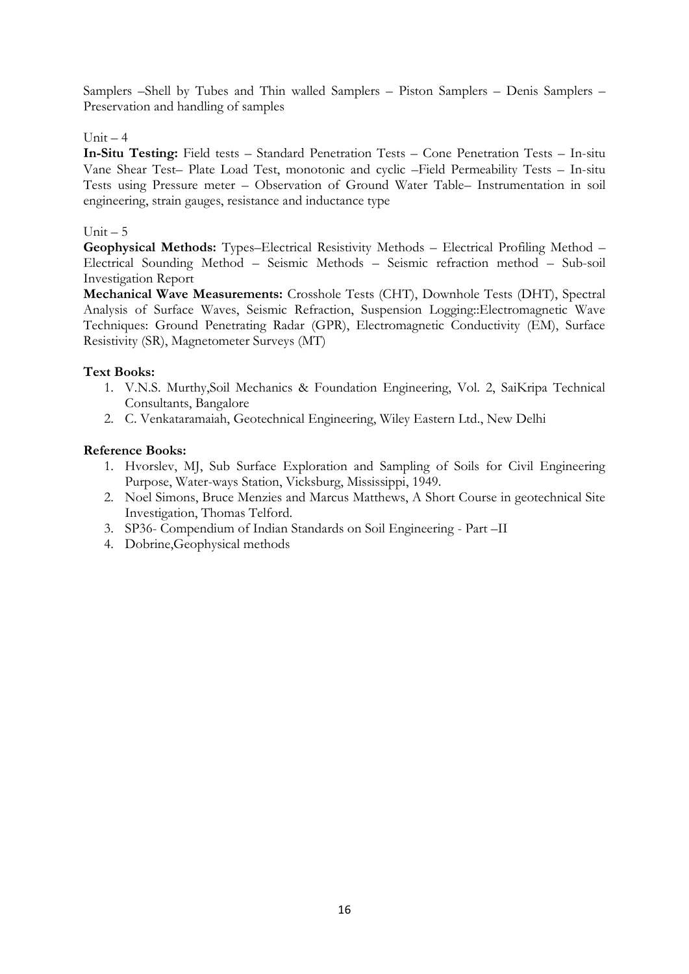Samplers –Shell by Tubes and Thin walled Samplers – Piston Samplers – Denis Samplers – Preservation and handling of samples

## Unit  $-4$

**In-Situ Testing:** Field tests – Standard Penetration Tests – Cone Penetration Tests – In-situ Vane Shear Test– Plate Load Test, monotonic and cyclic –Field Permeability Tests – In-situ Tests using Pressure meter – Observation of Ground Water Table– Instrumentation in soil engineering, strain gauges, resistance and inductance type

## Unit  $-5$

**Geophysical Methods:** Types–Electrical Resistivity Methods – Electrical Profiling Method – Electrical Sounding Method – Seismic Methods – Seismic refraction method – Sub-soil Investigation Report

**Mechanical Wave Measurements:** Crosshole Tests (CHT), Downhole Tests (DHT), Spectral Analysis of Surface Waves, Seismic Refraction, Suspension Logging::Electromagnetic Wave Techniques: Ground Penetrating Radar (GPR), Electromagnetic Conductivity (EM), Surface Resistivity (SR), Magnetometer Surveys (MT)

### **Text Books:**

- 1. V.N.S. Murthy,Soil Mechanics & Foundation Engineering, Vol. 2, SaiKripa Technical Consultants, Bangalore
- 2. C. Venkataramaiah, Geotechnical Engineering, Wiley Eastern Ltd., New Delhi

- 1. Hvorslev, MJ, Sub Surface Exploration and Sampling of Soils for Civil Engineering Purpose, Water-ways Station, Vicksburg, Mississippi, 1949.
- 2. Noel Simons, Bruce Menzies and Marcus Matthews, A Short Course in geotechnical Site Investigation, Thomas Telford.
- 3. SP36- Compendium of Indian Standards on Soil Engineering Part –II
- 4. Dobrine,Geophysical methods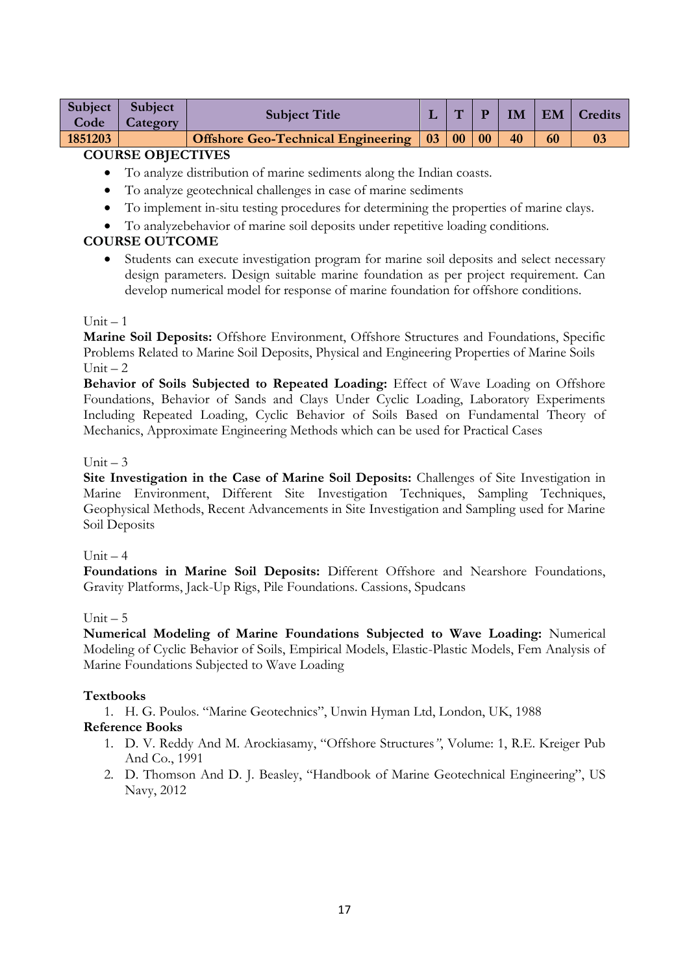| Subject  <br>Code | Subject<br><b>Category</b> | <b>Subject Title</b>                                          | $\mathbf{H}$ | P |    |    | <b>IM   EM   Credits</b> |
|-------------------|----------------------------|---------------------------------------------------------------|--------------|---|----|----|--------------------------|
| 1851203           |                            | <b>Offshore Geo-Technical Engineering   03   00   00   00</b> |              |   | 40 | 60 |                          |
|                   |                            |                                                               |              |   |    |    |                          |

- To analyze distribution of marine sediments along the Indian coasts.
- To analyze geotechnical challenges in case of marine sediments
- To implement in-situ testing procedures for determining the properties of marine clays.
- To analyzebehavior of marine soil deposits under repetitive loading conditions.

## **COURSE OUTCOME**

 Students can execute investigation program for marine soil deposits and select necessary design parameters. Design suitable marine foundation as per project requirement. Can develop numerical model for response of marine foundation for offshore conditions.

### $Unit = 1$

**Marine Soil Deposits:** Offshore Environment, Offshore Structures and Foundations, Specific Problems Related to Marine Soil Deposits, Physical and Engineering Properties of Marine Soils  $Unit - 2$ 

**Behavior of Soils Subjected to Repeated Loading:** Effect of Wave Loading on Offshore Foundations, Behavior of Sands and Clays Under Cyclic Loading, Laboratory Experiments Including Repeated Loading, Cyclic Behavior of Soils Based on Fundamental Theory of Mechanics, Approximate Engineering Methods which can be used for Practical Cases

#### Unit  $-3$

**Site Investigation in the Case of Marine Soil Deposits:** Challenges of Site Investigation in Marine Environment, Different Site Investigation Techniques, Sampling Techniques, Geophysical Methods, Recent Advancements in Site Investigation and Sampling used for Marine Soil Deposits

#### Unit  $-4$

**Foundations in Marine Soil Deposits:** Different Offshore and Nearshore Foundations, Gravity Platforms, Jack-Up Rigs, Pile Foundations. Cassions, Spudcans

### Unit  $-5$

**Numerical Modeling of Marine Foundations Subjected to Wave Loading:** Numerical Modeling of Cyclic Behavior of Soils, Empirical Models, Elastic-Plastic Models, Fem Analysis of Marine Foundations Subjected to Wave Loading

### **Textbooks**

1. H. G. Poulos. "Marine Geotechnics", Unwin Hyman Ltd, London, UK, 1988

- 1. D. V. Reddy And M. Arockiasamy, "Offshore Structures*"*, Volume: 1, R.E. Kreiger Pub And Co., 1991
- 2. D. Thomson And D. J. Beasley, "Handbook of Marine Geotechnical Engineering", US Navy, 2012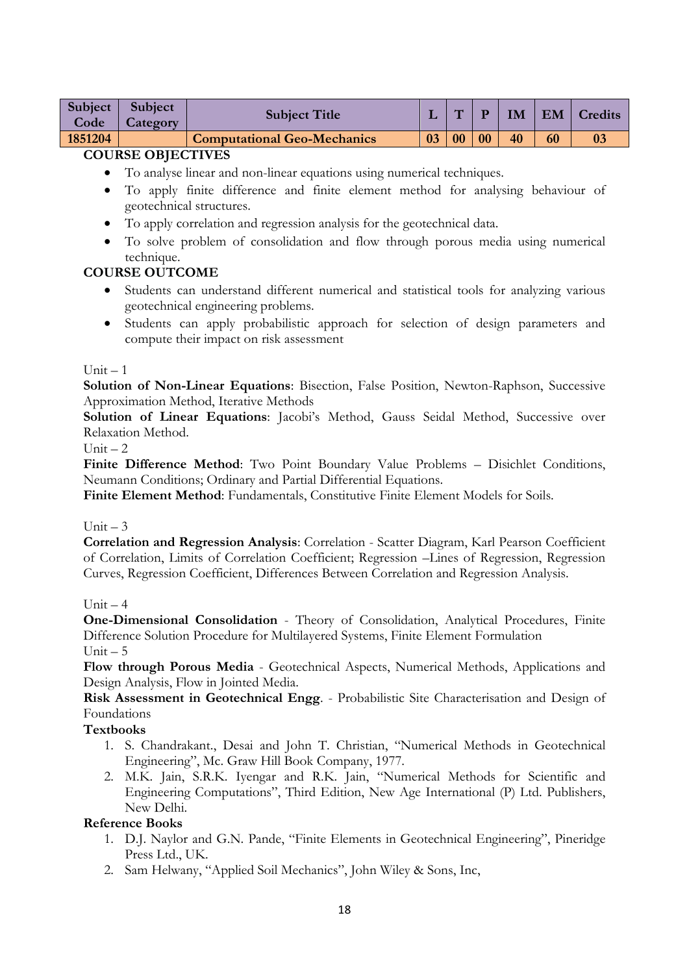| Subject  <br>Code | Subject<br>Category | <b>Subject Title</b>               |    | $\mathbf{H}$ |    | IM |    | EM   Credits |
|-------------------|---------------------|------------------------------------|----|--------------|----|----|----|--------------|
| 1851204           |                     | <b>Computational Geo-Mechanics</b> | 03 | 00           | 00 | 40 | 60 |              |

- To analyse linear and non-linear equations using numerical techniques.
- To apply finite difference and finite element method for analysing behaviour of geotechnical structures.
- To apply correlation and regression analysis for the geotechnical data.
- To solve problem of consolidation and flow through porous media using numerical technique.

## **COURSE OUTCOME**

- Students can understand different numerical and statistical tools for analyzing various geotechnical engineering problems.
- Students can apply probabilistic approach for selection of design parameters and compute their impact on risk assessment

#### $Unit - 1$

**Solution of Non-Linear Equations**: Bisection, False Position, Newton-Raphson, Successive Approximation Method, Iterative Methods

Solution of Linear Equations: Jacobi's Method, Gauss Seidal Method, Successive over Relaxation Method.

Unit  $-2$ 

Finite Difference Method: Two Point Boundary Value Problems - Disichlet Conditions, Neumann Conditions; Ordinary and Partial Differential Equations.

**Finite Element Method**: Fundamentals, Constitutive Finite Element Models for Soils.

### Unit  $-3$

**Correlation and Regression Analysis**: Correlation - Scatter Diagram, Karl Pearson Coefficient of Correlation, Limits of Correlation Coefficient; Regression –Lines of Regression, Regression Curves, Regression Coefficient, Differences Between Correlation and Regression Analysis.

### Unit  $-4$

**One-Dimensional Consolidation** - Theory of Consolidation, Analytical Procedures, Finite Difference Solution Procedure for Multilayered Systems, Finite Element Formulation Unit  $-5$ 

**Flow through Porous Media** - Geotechnical Aspects, Numerical Methods, Applications and Design Analysis, Flow in Jointed Media.

**Risk Assessment in Geotechnical Engg**. - Probabilistic Site Characterisation and Design of Foundations

### **Textbooks**

- 1. S. Chandrakant., Desai and John T. Christian, "Numerical Methods in Geotechnical Engineering", Mc. Graw Hill Book Company, 1977.
- 2. M.K. Jain, S.R.K. Iyengar and R.K. Jain, "Numerical Methods for Scientific and Engineering Computations", Third Edition, New Age International (P) Ltd. Publishers, New Delhi.

- 1. D.J. Naylor and G.N. Pande, "Finite Elements in Geotechnical Engineering", Pineridge Press Ltd., UK.
- 2. Sam Helwany, "Applied Soil Mechanics", John Wiley & Sons, Inc,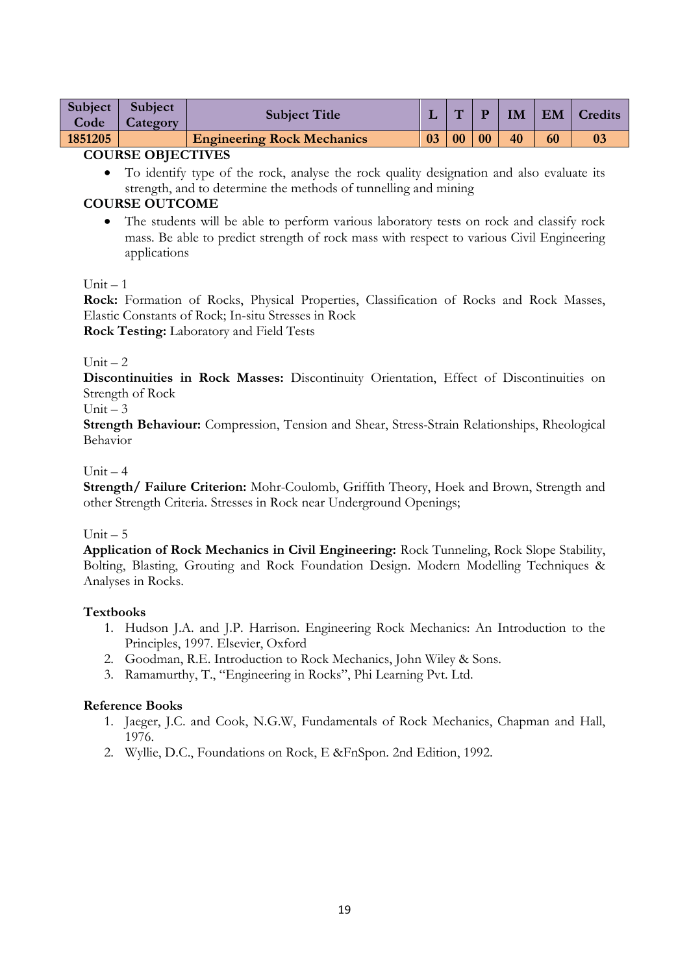| <b>Subject</b><br>Code | <b>Subject</b><br><b>Category</b> | <b>Subject Title</b>              |    | $\mathbf{H}$ |    | IM | $\mathsf{I}$ EM | <b>Credits</b> |
|------------------------|-----------------------------------|-----------------------------------|----|--------------|----|----|-----------------|----------------|
| 1851205                |                                   | <b>Engineering Rock Mechanics</b> | 03 | 00           | 00 | 40 | 60              |                |
| -----------------      |                                   |                                   |    |              |    |    |                 |                |

 To identify type of the rock, analyse the rock quality designation and also evaluate its strength, and to determine the methods of tunnelling and mining

# **COURSE OUTCOME**

 The students will be able to perform various laboratory tests on rock and classify rock mass. Be able to predict strength of rock mass with respect to various Civil Engineering applications

## $Unit - 1$

**Rock:** Formation of Rocks, Physical Properties, Classification of Rocks and Rock Masses, Elastic Constants of Rock; In-situ Stresses in Rock

**Rock Testing:** Laboratory and Field Tests

### Unit  $-2$

**Discontinuities in Rock Masses:** Discontinuity Orientation, Effect of Discontinuities on Strength of Rock

Unit  $-3$ 

**Strength Behaviour:** Compression, Tension and Shear, Stress-Strain Relationships, Rheological Behavior

### $Unit - 4$

**Strength/ Failure Criterion:** Mohr-Coulomb, Griffith Theory, Hoek and Brown, Strength and other Strength Criteria. Stresses in Rock near Underground Openings;

### Unit  $-5$

**Application of Rock Mechanics in Civil Engineering:** Rock Tunneling, Rock Slope Stability, Bolting, Blasting, Grouting and Rock Foundation Design. Modern Modelling Techniques & Analyses in Rocks.

### **Textbooks**

- 1. Hudson J.A. and J.P. Harrison. Engineering Rock Mechanics: An Introduction to the Principles, 1997. Elsevier, Oxford
- 2. Goodman, R.E. Introduction to Rock Mechanics, John Wiley & Sons.
- 3. Ramamurthy, T., "Engineering in Rocks", Phi Learning Pvt. Ltd.

- 1. Jaeger, J.C. and Cook, N.G.W, Fundamentals of Rock Mechanics, Chapman and Hall, 1976.
- 2. Wyllie, D.C., Foundations on Rock, E &FnSpon. 2nd Edition, 1992.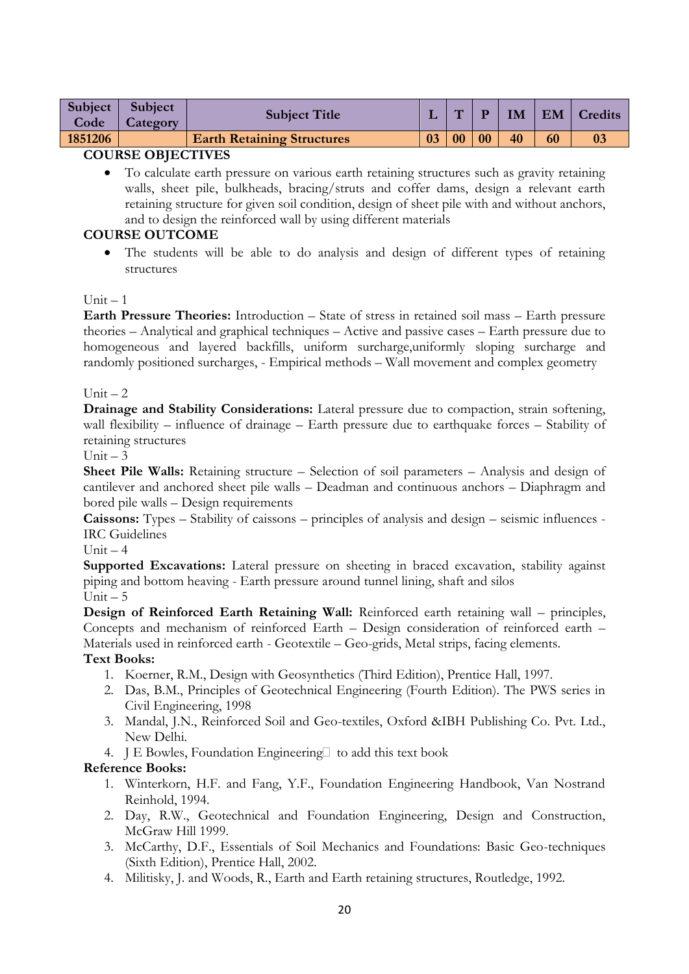| Subject  <br>Code | <b>Subject</b><br>Category | <b>Subject Title</b>              |    | ٣T |    | IM | EM | Credits |
|-------------------|----------------------------|-----------------------------------|----|----|----|----|----|---------|
| 1851206           |                            | <b>Earth Retaining Structures</b> | 03 | 00 | 00 | 40 | 60 |         |
|                   |                            |                                   |    |    |    |    |    |         |

 To calculate earth pressure on various earth retaining structures such as gravity retaining walls, sheet pile, bulkheads, bracing/struts and coffer dams, design a relevant earth retaining structure for given soil condition, design of sheet pile with and without anchors, and to design the reinforced wall by using different materials

## **COURSE OUTCOME**

• The students will be able to do analysis and design of different types of retaining structures

### $Unit = 1$

**Earth Pressure Theories:** Introduction – State of stress in retained soil mass – Earth pressure theories – Analytical and graphical techniques – Active and passive cases – Earth pressure due to homogeneous and layered backfills, uniform surcharge,uniformly sloping surcharge and randomly positioned surcharges, - Empirical methods – Wall movement and complex geometry

### Unit  $-2$

**Drainage and Stability Considerations:** Lateral pressure due to compaction, strain softening, wall flexibility – influence of drainage – Earth pressure due to earthquake forces – Stability of retaining structures

#### Unit  $-3$

**Sheet Pile Walls:** Retaining structure – Selection of soil parameters – Analysis and design of cantilever and anchored sheet pile walls – Deadman and continuous anchors – Diaphragm and bored pile walls – Design requirements

**Caissons:** Types – Stability of caissons – principles of analysis and design – seismic influences - IRC Guidelines

Unit  $-4$ 

Supported Excavations: Lateral pressure on sheeting in braced excavation, stability against piping and bottom heaving - Earth pressure around tunnel lining, shaft and silos Unit  $-5$ 

**Design of Reinforced Earth Retaining Wall:** Reinforced earth retaining wall – principles, Concepts and mechanism of reinforced Earth – Design consideration of reinforced earth – Materials used in reinforced earth - Geotextile – Geo-grids, Metal strips, facing elements.

### **Text Books:**

- 1. Koerner, R.M., Design with Geosynthetics (Third Edition), Prentice Hall, 1997.
- 2. Das, B.M., Principles of Geotechnical Engineering (Fourth Edition). The PWS series in Civil Engineering, 1998
- 3. Mandal, J.N., Reinforced Soil and Geo-textiles, Oxford &IBH Publishing Co. Pvt. Ltd., New Delhi.
- 4. J E Bowles, Foundation Engineering  $\Box$  to add this text book

- 1. Winterkorn, H.F. and Fang, Y.F., Foundation Engineering Handbook, Van Nostrand Reinhold, 1994.
- 2. Day, R.W., Geotechnical and Foundation Engineering, Design and Construction, McGraw Hill 1999.
- 3. McCarthy, D.F., Essentials of Soil Mechanics and Foundations: Basic Geo-techniques (Sixth Edition), Prentice Hall, 2002.
- 4. Militisky, J. and Woods, R., Earth and Earth retaining structures, Routledge, 1992.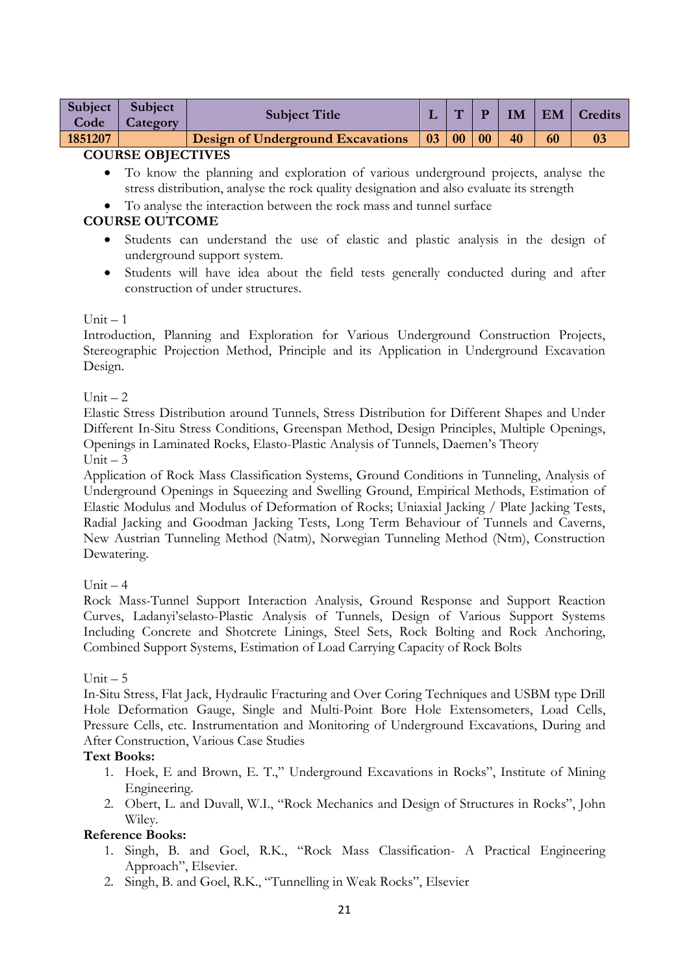| <b>Subject</b><br>Code | <b>Subject</b><br>Category | <b>Subject Title</b>                     |             | $\overline{\phantom{a}}$ |    | IM | EM | Credits |
|------------------------|----------------------------|------------------------------------------|-------------|--------------------------|----|----|----|---------|
| 1851207                |                            | <b>Design of Underground Excavations</b> | $\sqrt{03}$ | 0 <sub>0</sub>           | 00 | 40 |    |         |
| COURCE OBJECTIVE       |                            |                                          |             |                          |    |    |    |         |

- To know the planning and exploration of various underground projects, analyse the stress distribution, analyse the rock quality designation and also evaluate its strength
- To analyse the interaction between the rock mass and tunnel surface

## **COURSE OUTCOME**

- Students can understand the use of elastic and plastic analysis in the design of underground support system.
- Students will have idea about the field tests generally conducted during and after construction of under structures.

### $Unit - 1$

Introduction, Planning and Exploration for Various Underground Construction Projects, Stereographic Projection Method, Principle and its Application in Underground Excavation Design.

### Unit  $-2$

Elastic Stress Distribution around Tunnels, Stress Distribution for Different Shapes and Under Different In-Situ Stress Conditions, Greenspan Method, Design Principles, Multiple Openings, Openings in Laminated Rocks, Elasto-Plastic Analysis of Tunnels, Daemen"s Theory Unit  $-3$ 

Application of Rock Mass Classification Systems, Ground Conditions in Tunneling, Analysis of Underground Openings in Squeezing and Swelling Ground, Empirical Methods, Estimation of Elastic Modulus and Modulus of Deformation of Rocks; Uniaxial Jacking / Plate Jacking Tests, Radial Jacking and Goodman Jacking Tests, Long Term Behaviour of Tunnels and Caverns, New Austrian Tunneling Method (Natm), Norwegian Tunneling Method (Ntm), Construction Dewatering.

### Unit  $-4$

Rock Mass-Tunnel Support Interaction Analysis, Ground Response and Support Reaction Curves, Ladanyi"selasto-Plastic Analysis of Tunnels, Design of Various Support Systems Including Concrete and Shotcrete Linings, Steel Sets, Rock Bolting and Rock Anchoring, Combined Support Systems, Estimation of Load Carrying Capacity of Rock Bolts

### Unit  $-5$

In-Situ Stress, Flat Jack, Hydraulic Fracturing and Over Coring Techniques and USBM type Drill Hole Deformation Gauge, Single and Multi-Point Bore Hole Extensometers, Load Cells, Pressure Cells, etc. Instrumentation and Monitoring of Underground Excavations, During and After Construction, Various Case Studies

### **Text Books:**

- 1. Hoek, E and Brown, E. T.," Underground Excavations in Rocks", Institute of Mining Engineering.
- 2. Obert, L. and Duvall, W.I., "Rock Mechanics and Design of Structures in Rocks", John Wiley.

- 1. Singh, B. and Goel, R.K., "Rock Mass Classification- A Practical Engineering Approach", Elsevier.
- 2. Singh, B. and Goel, R.K., "Tunnelling in Weak Rocks", Elsevier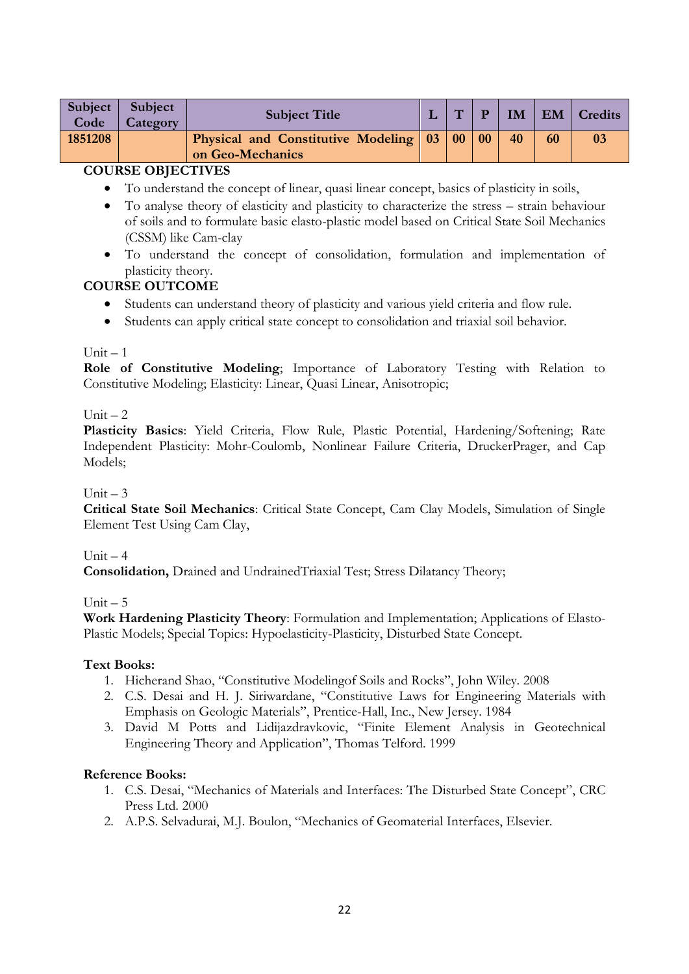| <b>Physical and Constitutive Modeling 03 00 00</b><br>40<br>1851208<br>60 | Subject  <br>Code | Subject<br>Category | <b>Subject Title</b> | $\mathbf{T}'$ | $\mathbf{p}$ |  | <b>IM   EM   Credits</b> |
|---------------------------------------------------------------------------|-------------------|---------------------|----------------------|---------------|--------------|--|--------------------------|
| on Geo-Mechanics                                                          |                   |                     |                      |               |              |  |                          |

- To understand the concept of linear, quasi linear concept, basics of plasticity in soils,
- To analyse theory of elasticity and plasticity to characterize the stress strain behaviour of soils and to formulate basic elasto-plastic model based on Critical State Soil Mechanics (CSSM) like Cam-clay
- To understand the concept of consolidation, formulation and implementation of plasticity theory.

# **COURSE OUTCOME**

- Students can understand theory of plasticity and various yield criteria and flow rule.
- Students can apply critical state concept to consolidation and triaxial soil behavior.

## $Unit - 1$

**Role of Constitutive Modeling**; Importance of Laboratory Testing with Relation to Constitutive Modeling; Elasticity: Linear, Quasi Linear, Anisotropic;

## Unit  $-2$

**Plasticity Basics**: Yield Criteria, Flow Rule, Plastic Potential, Hardening/Softening; Rate Independent Plasticity: Mohr-Coulomb, Nonlinear Failure Criteria, DruckerPrager, and Cap Models;

# $Unit = 3$

**Critical State Soil Mechanics**: Critical State Concept, Cam Clay Models, Simulation of Single Element Test Using Cam Clay,

# Unit  $-4$

**Consolidation,** Drained and UndrainedTriaxial Test; Stress Dilatancy Theory;

# Unit  $-5$

**Work Hardening Plasticity Theory**: Formulation and Implementation; Applications of Elasto-Plastic Models; Special Topics: Hypoelasticity-Plasticity, Disturbed State Concept.

### **Text Books:**

- 1. Hicherand Shao, "Constitutive Modelingof Soils and Rocks", John Wiley. 2008
- 2. C.S. Desai and H. J. Siriwardane, "Constitutive Laws for Engineering Materials with Emphasis on Geologic Materials", Prentice-Hall, Inc., New Jersey. 1984
- 3. David M Potts and Lidijazdravkovic, "Finite Element Analysis in Geotechnical Engineering Theory and Application", Thomas Telford. 1999

- 1. C.S. Desai, "Mechanics of Materials and Interfaces: The Disturbed State Concept", CRC Press Ltd. 2000
- 2. A.P.S. Selvadurai, M.J. Boulon, "Mechanics of Geomaterial Interfaces, Elsevier.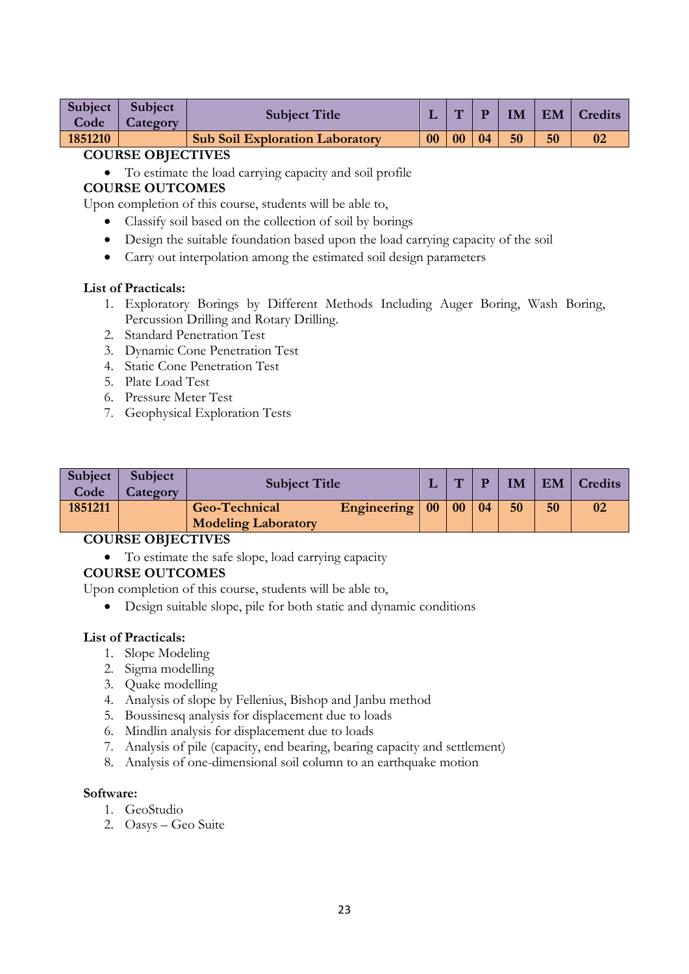| Subject | Subject  | <b>Subject Title</b>                   |    | $\overline{\phantom{a}}$ |    | IM |    | EM   Credits   |
|---------|----------|----------------------------------------|----|--------------------------|----|----|----|----------------|
| Code    | Category |                                        |    |                          |    |    |    |                |
| 1851210 |          | <b>Sub Soil Exploration Laboratory</b> | 00 | $ 00\rangle$             | 04 | 50 | 50 | 0 <sub>2</sub> |

To estimate the load carrying capacity and soil profile

# **COURSE OUTCOMES**

Upon completion of this course, students will be able to,

- Classify soil based on the collection of soil by borings
- Design the suitable foundation based upon the load carrying capacity of the soil
- Carry out interpolation among the estimated soil design parameters

#### **List of Practicals:**

- 1. Exploratory Borings by Different Methods Including Auger Boring, Wash Boring, Percussion Drilling and Rotary Drilling.
- 2. Standard Penetration Test
- 3. Dynamic Cone Penetration Test
- 4. Static Cone Penetration Test
- 5. Plate Load Test
- 6. Pressure Meter Test
- 7. Geophysical Exploration Tests

| Subject  <br>Code | Subject<br>Category | <b>Subject Title</b>                               |                                 | $\mathbf{H}$ |    | IM |    | EM   Credits |
|-------------------|---------------------|----------------------------------------------------|---------------------------------|--------------|----|----|----|--------------|
| 1851211           |                     | <b>Geo-Technical</b><br><b>Modeling Laboratory</b> | Engineering $\vert 00 \vert 00$ |              | 04 | 50 | 50 | 02           |

### **COURSE OBJECTIVES**

To estimate the safe slope, load carrying capacity

### **COURSE OUTCOMES**

Upon completion of this course, students will be able to,

Design suitable slope, pile for both static and dynamic conditions

#### **List of Practicals:**

- 1. Slope Modeling
- 2. Sigma modelling
- 3. Quake modelling
- 4. Analysis of slope by Fellenius, Bishop and Janbu method
- 5. Boussinesq analysis for displacement due to loads
- 6. Mindlin analysis for displacement due to loads
- 7. Analysis of pile (capacity, end bearing, bearing capacity and settlement)
- 8. Analysis of one-dimensional soil column to an earthquake motion

#### **Software:**

- 1. GeoStudio
- 2. Oasys Geo Suite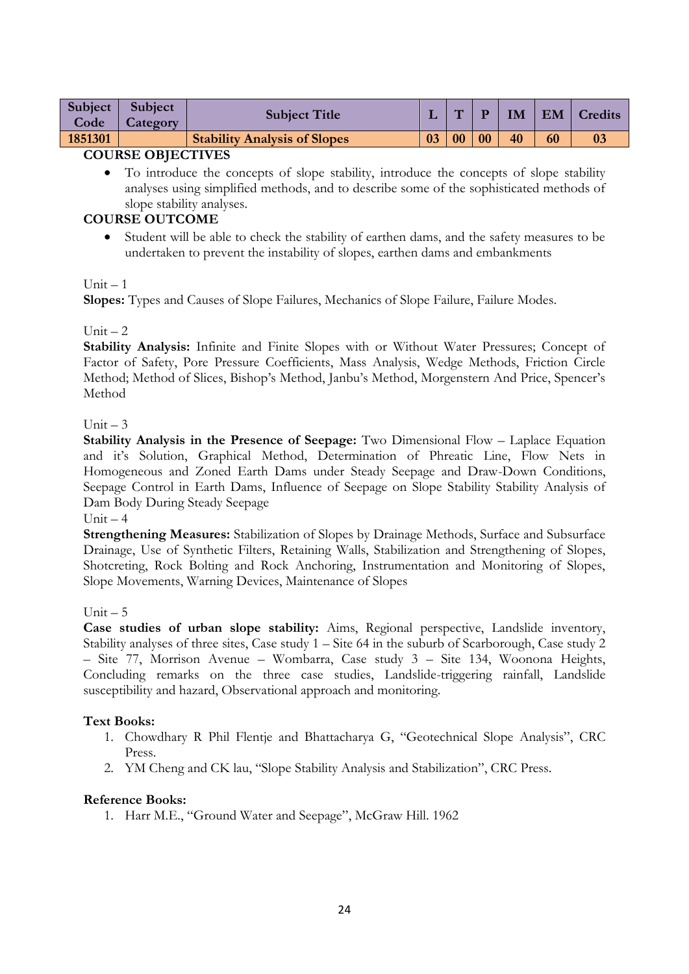| Subject V<br>Code | Subject<br>Category | <b>Subject Title</b>                |    | $\overline{ }$ | D  | $\mathbf{I}$ M | EM | <b>Credits</b> |
|-------------------|---------------------|-------------------------------------|----|----------------|----|----------------|----|----------------|
| 1851301           |                     | <b>Stability Analysis of Slopes</b> | 03 | 0 <sub>0</sub> | 00 | 40             | 60 |                |
|                   |                     | _ _ _ _ _ _ _ _ _                   |    |                |    |                |    |                |

• To introduce the concepts of slope stability, introduce the concepts of slope stability analyses using simplified methods, and to describe some of the sophisticated methods of slope stability analyses.

## **COURSE OUTCOME**

 Student will be able to check the stability of earthen dams, and the safety measures to be undertaken to prevent the instability of slopes, earthen dams and embankments

### $Unit - 1$

**Slopes:** Types and Causes of Slope Failures, Mechanics of Slope Failure, Failure Modes.

## Unit  $-2$

**Stability Analysis:** Infinite and Finite Slopes with or Without Water Pressures; Concept of Factor of Safety, Pore Pressure Coefficients, Mass Analysis, Wedge Methods, Friction Circle Method; Method of Slices, Bishop's Method, Janbu's Method, Morgenstern And Price, Spencer's Method

## Unit  $-3$

**Stability Analysis in the Presence of Seepage:** Two Dimensional Flow – Laplace Equation and it's Solution, Graphical Method, Determination of Phreatic Line, Flow Nets in Homogeneous and Zoned Earth Dams under Steady Seepage and Draw-Down Conditions, Seepage Control in Earth Dams, Influence of Seepage on Slope Stability Stability Analysis of Dam Body During Steady Seepage

Unit  $-4$ 

**Strengthening Measures:** Stabilization of Slopes by Drainage Methods, Surface and Subsurface Drainage, Use of Synthetic Filters, Retaining Walls, Stabilization and Strengthening of Slopes, Shotcreting, Rock Bolting and Rock Anchoring, Instrumentation and Monitoring of Slopes, Slope Movements, Warning Devices, Maintenance of Slopes

### Unit  $-5$

**Case studies of urban slope stability:** Aims, Regional perspective, Landslide inventory, Stability analyses of three sites, Case study 1 – Site 64 in the suburb of Scarborough, Case study 2 – Site 77, Morrison Avenue – Wombarra, Case study 3 – Site 134, Woonona Heights, Concluding remarks on the three case studies, Landslide-triggering rainfall, Landslide susceptibility and hazard, Observational approach and monitoring.

### **Text Books:**

- 1. Chowdhary R Phil Flentje and Bhattacharya G, "Geotechnical Slope Analysis", CRC Press.
- 2. YM Cheng and CK lau, "Slope Stability Analysis and Stabilization", CRC Press.

### **Reference Books:**

1. Harr M.E., "Ground Water and Seepage", McGraw Hill. 1962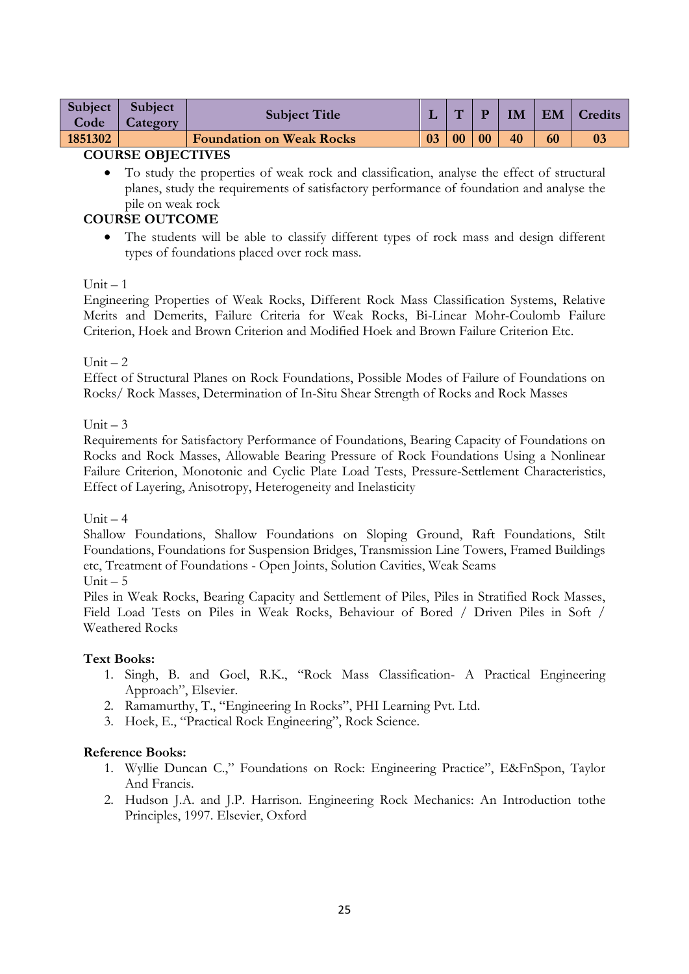| Subject<br>Code | Subject<br>Category | <b>Subject Title</b>            |    | m              | D  | IM | $\mathsf{I}$ EM | Credits |
|-----------------|---------------------|---------------------------------|----|----------------|----|----|-----------------|---------|
| 1851302         |                     | <b>Foundation on Weak Rocks</b> | 03 | 0 <sub>0</sub> | 00 | 40 | 60              |         |
|                 | -----------------   |                                 |    |                |    |    |                 |         |

 To study the properties of weak rock and classification, analyse the effect of structural planes, study the requirements of satisfactory performance of foundation and analyse the pile on weak rock

# **COURSE OUTCOME**

 The students will be able to classify different types of rock mass and design different types of foundations placed over rock mass.

### $Unit - 1$

Engineering Properties of Weak Rocks, Different Rock Mass Classification Systems, Relative Merits and Demerits, Failure Criteria for Weak Rocks, Bi-Linear Mohr-Coulomb Failure Criterion, Hoek and Brown Criterion and Modified Hoek and Brown Failure Criterion Etc.

### Unit  $-2$

Effect of Structural Planes on Rock Foundations, Possible Modes of Failure of Foundations on Rocks/ Rock Masses, Determination of In-Situ Shear Strength of Rocks and Rock Masses

### Unit  $-3$

Requirements for Satisfactory Performance of Foundations, Bearing Capacity of Foundations on Rocks and Rock Masses, Allowable Bearing Pressure of Rock Foundations Using a Nonlinear Failure Criterion, Monotonic and Cyclic Plate Load Tests, Pressure-Settlement Characteristics, Effect of Layering, Anisotropy, Heterogeneity and Inelasticity

### Unit  $-4$

Shallow Foundations, Shallow Foundations on Sloping Ground, Raft Foundations, Stilt Foundations, Foundations for Suspension Bridges, Transmission Line Towers, Framed Buildings etc, Treatment of Foundations - Open Joints, Solution Cavities, Weak Seams

#### $Unit - 5$

Piles in Weak Rocks, Bearing Capacity and Settlement of Piles, Piles in Stratified Rock Masses, Field Load Tests on Piles in Weak Rocks, Behaviour of Bored / Driven Piles in Soft / Weathered Rocks

### **Text Books:**

- 1. Singh, B. and Goel, R.K., "Rock Mass Classification- A Practical Engineering Approach", Elsevier.
- 2. Ramamurthy, T., "Engineering In Rocks", PHI Learning Pvt. Ltd.
- 3. Hoek, E., "Practical Rock Engineering", Rock Science.

- 1. Wyllie Duncan C.," Foundations on Rock: Engineering Practice", E&FnSpon, Taylor And Francis.
- 2. Hudson J.A. and J.P. Harrison. Engineering Rock Mechanics: An Introduction tothe Principles, 1997. Elsevier, Oxford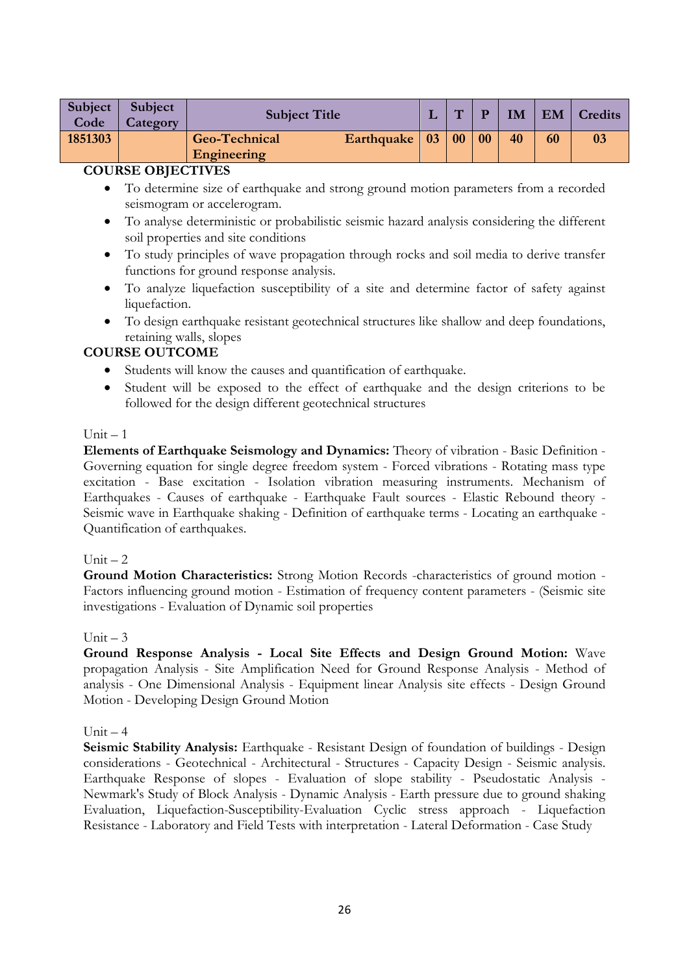| <b>Subject</b><br>Code | Subject<br>Category | <b>Subject Title</b>         |                 | $\overline{ }$ | D  | IM | <b>EM</b> | Credits |
|------------------------|---------------------|------------------------------|-----------------|----------------|----|----|-----------|---------|
| 1851303                |                     | Geo-Technical<br>Engineering | Earthquake   03 | 00             | 00 | 40 | 60        |         |

- To determine size of earthquake and strong ground motion parameters from a recorded seismogram or accelerogram.
- To analyse deterministic or probabilistic seismic hazard analysis considering the different soil properties and site conditions
- To study principles of wave propagation through rocks and soil media to derive transfer functions for ground response analysis.
- To analyze liquefaction susceptibility of a site and determine factor of safety against liquefaction.
- To design earthquake resistant geotechnical structures like shallow and deep foundations, retaining walls, slopes

# **COURSE OUTCOME**

- Students will know the causes and quantification of earthquake.
- Student will be exposed to the effect of earthquake and the design criterions to be followed for the design different geotechnical structures

## $Unit - 1$

**Elements of Earthquake Seismology and Dynamics:** Theory of vibration - Basic Definition - Governing equation for single degree freedom system - Forced vibrations - Rotating mass type excitation - Base excitation - Isolation vibration measuring instruments. Mechanism of Earthquakes - Causes of earthquake - Earthquake Fault sources - Elastic Rebound theory - Seismic wave in Earthquake shaking - Definition of earthquake terms - Locating an earthquake - Quantification of earthquakes.

# Unit  $-2$

**Ground Motion Characteristics:** Strong Motion Records -characteristics of ground motion - Factors influencing ground motion - Estimation of frequency content parameters - (Seismic site investigations - Evaluation of Dynamic soil properties

### Unit  $-3$

**Ground Response Analysis - Local Site Effects and Design Ground Motion:** Wave propagation Analysis - Site Amplification Need for Ground Response Analysis - Method of analysis - One Dimensional Analysis - Equipment linear Analysis site effects - Design Ground Motion - Developing Design Ground Motion

### $Unit = 4$

**Seismic Stability Analysis:** Earthquake - Resistant Design of foundation of buildings - Design considerations - Geotechnical - Architectural - Structures - Capacity Design - Seismic analysis. Earthquake Response of slopes - Evaluation of slope stability - Pseudostatic Analysis - Newmark's Study of Block Analysis - Dynamic Analysis - Earth pressure due to ground shaking Evaluation, Liquefaction-Susceptibility-Evaluation Cyclic stress approach - Liquefaction Resistance - Laboratory and Field Tests with interpretation - Lateral Deformation - Case Study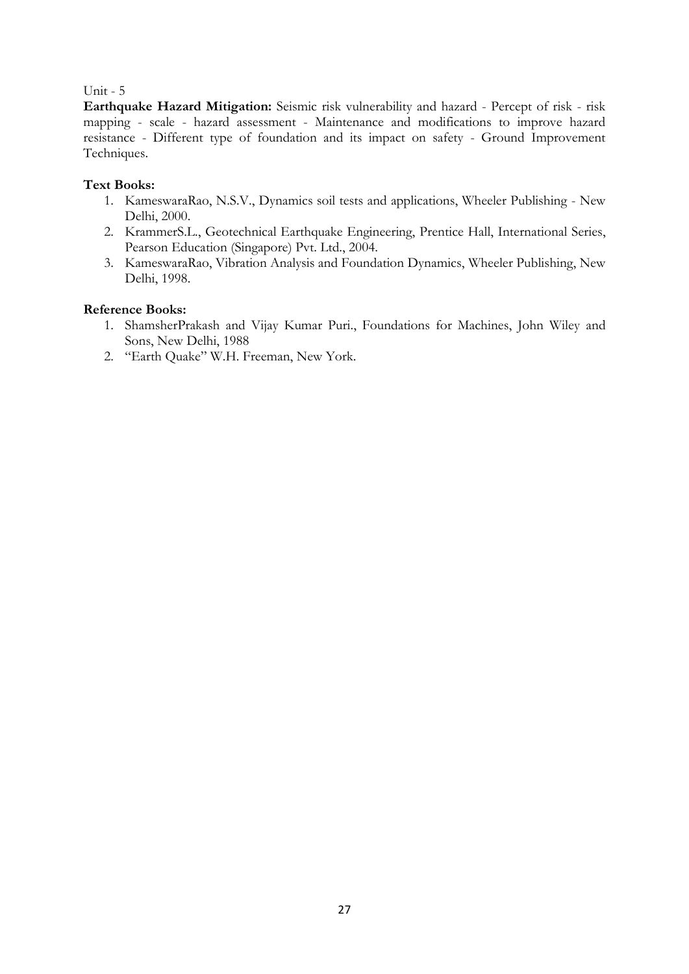### Unit - 5

**Earthquake Hazard Mitigation:** Seismic risk vulnerability and hazard - Percept of risk - risk mapping - scale - hazard assessment - Maintenance and modifications to improve hazard resistance - Different type of foundation and its impact on safety - Ground Improvement Techniques.

## **Text Books:**

- 1. KameswaraRao, N.S.V., Dynamics soil tests and applications, Wheeler Publishing New Delhi, 2000.
- 2. KrammerS.L., Geotechnical Earthquake Engineering, Prentice Hall, International Series, Pearson Education (Singapore) Pvt. Ltd., 2004.
- 3. KameswaraRao, Vibration Analysis and Foundation Dynamics, Wheeler Publishing, New Delhi, 1998.

- 1. ShamsherPrakash and Vijay Kumar Puri., Foundations for Machines, John Wiley and Sons, New Delhi, 1988
- 2. "Earth Quake" W.H. Freeman, New York.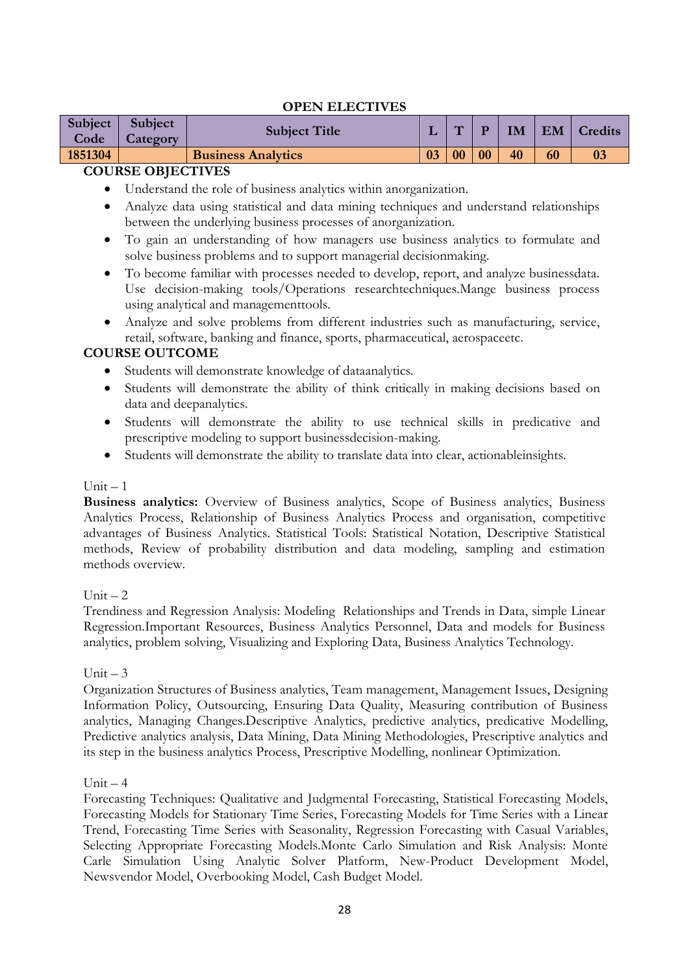## **OPEN ELECTIVES**

| Subject<br>Code | <b>Subject</b><br>Category | <b>Subject Title</b>      |    | $\overline{\phantom{0}}$ |    | <b>IM</b> | <b>EM</b> | Credits |
|-----------------|----------------------------|---------------------------|----|--------------------------|----|-----------|-----------|---------|
| 1851304         |                            | <b>Business Analytics</b> | 03 | 0 <sub>0</sub>           | 00 | 40        | 60        | 03      |
|                 | OQ                         |                           |    |                          |    |           |           |         |

## **COURSE OBJECTIVES**

- Understand the role of business analytics within anorganization.
- Analyze data using statistical and data mining techniques and understand relationships between the underlying business processes of anorganization.
- To gain an understanding of how managers use business analytics to formulate and solve business problems and to support managerial decisionmaking.
- To become familiar with processes needed to develop, report, and analyze businessdata. Use decision-making tools/Operations researchtechniques.Mange business process using analytical and managementtools.
- Analyze and solve problems from different industries such as manufacturing, service, retail, software, banking and finance, sports, pharmaceutical, aerospaceetc.

## **COURSE OUTCOME**

- Students will demonstrate knowledge of dataanalytics.
- Students will demonstrate the ability of think critically in making decisions based on data and deepanalytics.
- Students will demonstrate the ability to use technical skills in predicative and prescriptive modeling to support businessdecision-making.
- Students will demonstrate the ability to translate data into clear, actionableinsights.

#### $Unit = 1$

**Business analytics:** Overview of Business analytics, Scope of Business analytics, Business Analytics Process, Relationship of Business Analytics Process and organisation, competitive advantages of Business Analytics. Statistical Tools: Statistical Notation, Descriptive Statistical methods, Review of probability distribution and data modeling, sampling and estimation methods overview.

### $Unit = 2$

Trendiness and Regression Analysis: Modeling Relationships and Trends in Data, simple Linear Regression.Important Resources, Business Analytics Personnel, Data and models for Business analytics, problem solving, Visualizing and Exploring Data, Business Analytics Technology.

### Unit  $-3$

Organization Structures of Business analytics, Team management, Management Issues, Designing Information Policy, Outsourcing, Ensuring Data Quality, Measuring contribution of Business analytics, Managing Changes.Descriptive Analytics, predictive analytics, predicative Modelling, Predictive analytics analysis, Data Mining, Data Mining Methodologies, Prescriptive analytics and its step in the business analytics Process, Prescriptive Modelling, nonlinear Optimization.

### $Unit - 4$

Forecasting Techniques: Qualitative and Judgmental Forecasting, Statistical Forecasting Models, Forecasting Models for Stationary Time Series, Forecasting Models for Time Series with a Linear Trend, Forecasting Time Series with Seasonality, Regression Forecasting with Casual Variables, Selecting Appropriate Forecasting Models.Monte Carlo Simulation and Risk Analysis: Monte Carle Simulation Using Analytic Solver Platform, New-Product Development Model, Newsvendor Model, Overbooking Model, Cash Budget Model.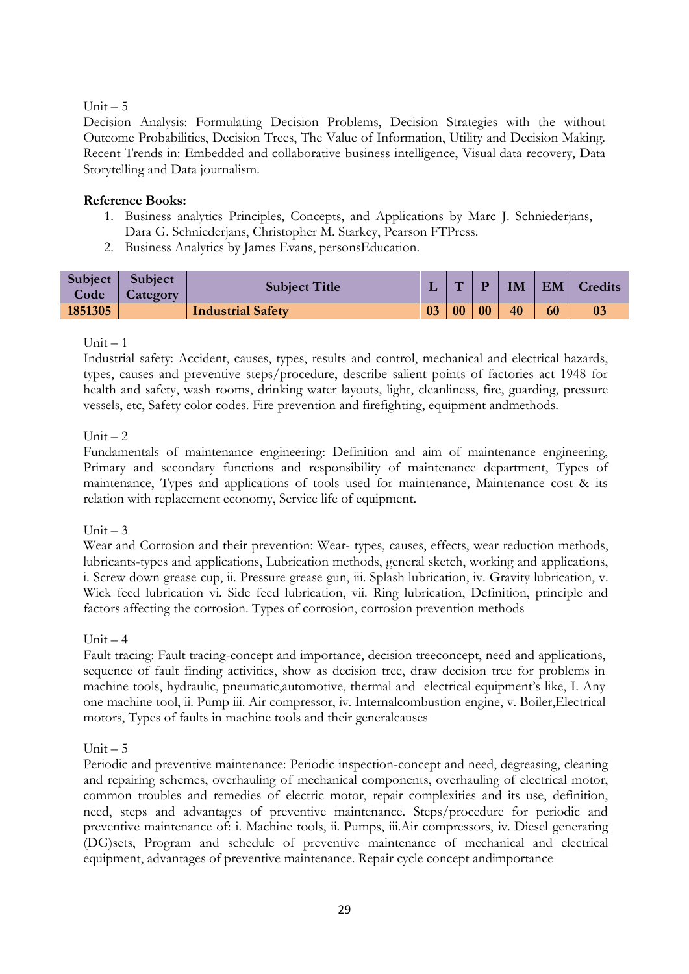## $Unit - 5$

Decision Analysis: Formulating Decision Problems, Decision Strategies with the without Outcome Probabilities, Decision Trees, The Value of Information, Utility and Decision Making. Recent Trends in: Embedded and collaborative business intelligence, Visual data recovery, Data Storytelling and Data journalism.

## **Reference Books:**

- 1. Business analytics Principles, Concepts, and Applications by Marc J. Schniederjans, Dara G. Schniederjans, Christopher M. Starkey, Pearson FTPress.
- 2. Business Analytics by James Evans, personsEducation.

| Subject<br>Code | Subject<br><b>Category</b> | <b>Subject Title</b>     |    | $\overline{\phantom{0}}$ |    | IM |    | EM   Credits   |
|-----------------|----------------------------|--------------------------|----|--------------------------|----|----|----|----------------|
| 1851305         |                            | <b>Industrial Safety</b> | 03 | 00                       | 00 | 40 | 60 | 0 <sub>3</sub> |

### $Unit - 1$

Industrial safety: Accident, causes, types, results and control, mechanical and electrical hazards, types, causes and preventive steps/procedure, describe salient points of factories act 1948 for health and safety, wash rooms, drinking water layouts, light, cleanliness, fire, guarding, pressure vessels, etc, Safety color codes. Fire prevention and firefighting, equipment andmethods.

### Unit  $-2$

Fundamentals of maintenance engineering: Definition and aim of maintenance engineering, Primary and secondary functions and responsibility of maintenance department, Types of maintenance, Types and applications of tools used for maintenance, Maintenance cost & its relation with replacement economy, Service life of equipment.

### Unit  $-3$

Wear and Corrosion and their prevention: Wear- types, causes, effects, wear reduction methods, lubricants-types and applications, Lubrication methods, general sketch, working and applications, i. Screw down grease cup, ii. Pressure grease gun, iii. Splash lubrication, iv. Gravity lubrication, v. Wick feed lubrication vi. Side feed lubrication, vii. Ring lubrication, Definition, principle and factors affecting the corrosion. Types of corrosion, corrosion prevention methods

### Unit  $-4$

Fault tracing: Fault tracing-concept and importance, decision treeconcept, need and applications, sequence of fault finding activities, show as decision tree, draw decision tree for problems in machine tools, hydraulic, pneumatic,automotive, thermal and electrical equipment's like, I. Any one machine tool, ii. Pump iii. Air compressor, iv. Internalcombustion engine, v. Boiler,Electrical motors, Types of faults in machine tools and their generalcauses

### $Unit - 5$

Periodic and preventive maintenance: Periodic inspection-concept and need, degreasing, cleaning and repairing schemes, overhauling of mechanical components, overhauling of electrical motor, common troubles and remedies of electric motor, repair complexities and its use, definition, need, steps and advantages of preventive maintenance. Steps/procedure for periodic and preventive maintenance of: i. Machine tools, ii. Pumps, iii.Air compressors, iv. Diesel generating (DG)sets, Program and schedule of preventive maintenance of mechanical and electrical equipment, advantages of preventive maintenance. Repair cycle concept andimportance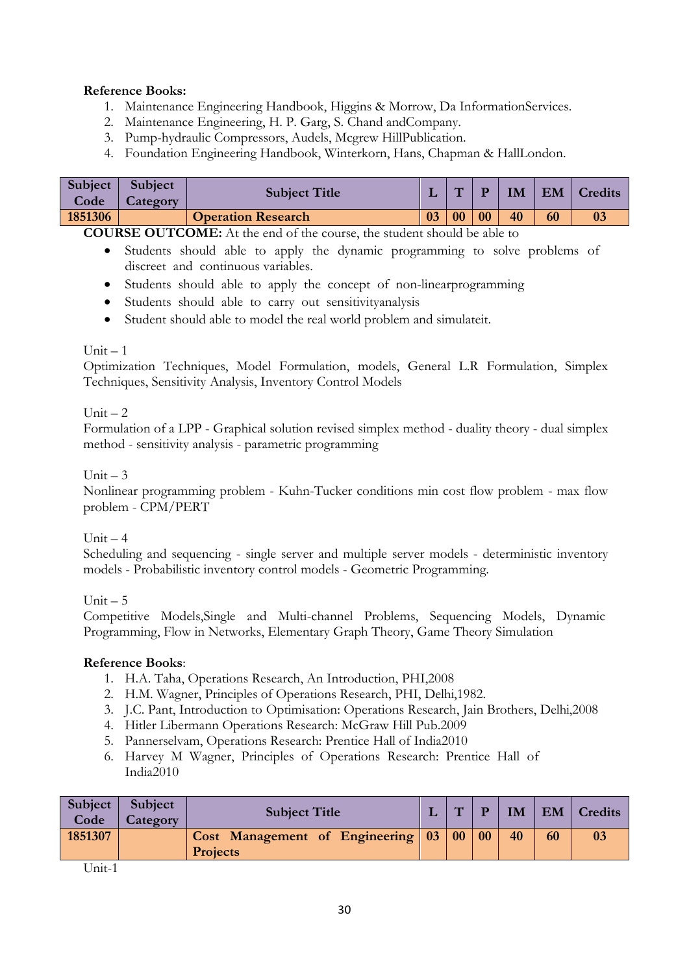# **Reference Books:**

- 1. Maintenance Engineering Handbook, Higgins & Morrow, Da InformationServices.
- 2. Maintenance Engineering, H. P. Garg, S. Chand andCompany.
- 3. Pump-hydraulic Compressors, Audels, Mcgrew HillPublication.
- 4. Foundation Engineering Handbook, Winterkorn, Hans, Chapman & HallLondon.

| Subject<br>Code | <b>Subject</b><br><b>Category</b> | <b>Subject Title</b>      |    | $\sqrt{2}$ |    | IM | EM | <b>Credits</b> |
|-----------------|-----------------------------------|---------------------------|----|------------|----|----|----|----------------|
| 1851306         |                                   | <b>Operation Research</b> | 03 | 00         | 00 | 40 | 60 |                |

**COURSE OUTCOME:** At the end of the course, the student should be able to

- Students should able to apply the dynamic programming to solve problems of discreet and continuous variables.
- Students should able to apply the concept of non-linearprogramming
- Students should able to carry out sensitivityanalysis
- Student should able to model the real world problem and simulateit.

#### $Unit = 1$

Optimization Techniques, Model Formulation, models, General L.R Formulation, Simplex Techniques, Sensitivity Analysis, Inventory Control Models

### Unit  $-2$

Formulation of a LPP - Graphical solution revised simplex method - duality theory - dual simplex method - sensitivity analysis - parametric programming

#### Unit  $-3$

Nonlinear programming problem - Kuhn-Tucker conditions min cost flow problem - max flow problem - CPM/PERT

### $Unit - 4$

Scheduling and sequencing - single server and multiple server models - deterministic inventory models - Probabilistic inventory control models - Geometric Programming.

Unit – 5

Competitive Models,Single and Multi-channel Problems, Sequencing Models, Dynamic Programming, Flow in Networks, Elementary Graph Theory, Game Theory Simulation

### **Reference Books**:

- 1. H.A. Taha, Operations Research, An Introduction, PHI,2008
- 2. H.M. Wagner, Principles of Operations Research, PHI, Delhi,1982.
- 3. J.C. Pant, Introduction to Optimisation: Operations Research, Jain Brothers, Delhi,2008
- 4. Hitler Libermann Operations Research: McGraw Hill Pub.2009
- 5. Pannerselvam, Operations Research: Prentice Hall of India2010
- 6. Harvey M Wagner, Principles of Operations Research: Prentice Hall of India2010

| <b>Subject</b><br>Code | Subject<br>Category | <b>Subject Title</b>                                    | $\mathbf{H}$ | D  | IM | <b>EM</b> | Credits        |
|------------------------|---------------------|---------------------------------------------------------|--------------|----|----|-----------|----------------|
| 1851307                |                     | Cost Management of Engineering 03 00<br><b>Projects</b> |              | 00 | 40 | 60        | 0 <sup>3</sup> |
| ___                    |                     |                                                         |              |    |    |           |                |

Unit-1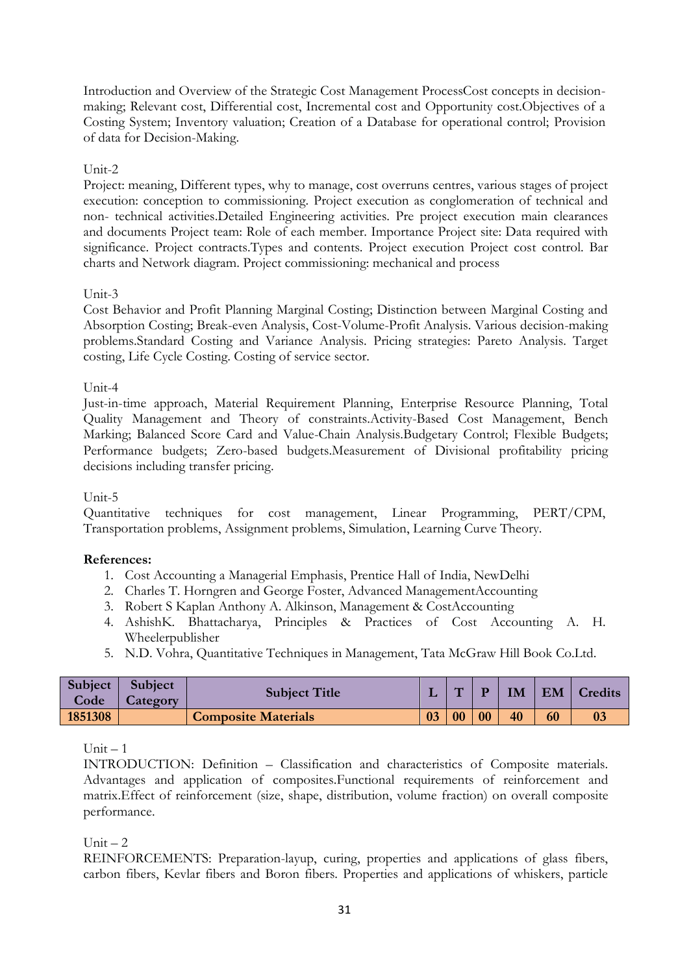Introduction and Overview of the Strategic Cost Management ProcessCost concepts in decisionmaking; Relevant cost, Differential cost, Incremental cost and Opportunity cost.Objectives of a Costing System; Inventory valuation; Creation of a Database for operational control; Provision of data for Decision-Making.

## Unit-2

Project: meaning, Different types, why to manage, cost overruns centres, various stages of project execution: conception to commissioning. Project execution as conglomeration of technical and non- technical activities.Detailed Engineering activities. Pre project execution main clearances and documents Project team: Role of each member. Importance Project site: Data required with significance. Project contracts.Types and contents. Project execution Project cost control. Bar charts and Network diagram. Project commissioning: mechanical and process

### Unit-3

Cost Behavior and Profit Planning Marginal Costing; Distinction between Marginal Costing and Absorption Costing; Break-even Analysis, Cost-Volume-Profit Analysis. Various decision-making problems.Standard Costing and Variance Analysis. Pricing strategies: Pareto Analysis. Target costing, Life Cycle Costing. Costing of service sector.

### Unit-4

Just-in-time approach, Material Requirement Planning, Enterprise Resource Planning, Total Quality Management and Theory of constraints.Activity-Based Cost Management, Bench Marking; Balanced Score Card and Value-Chain Analysis.Budgetary Control; Flexible Budgets; Performance budgets; Zero-based budgets.Measurement of Divisional profitability pricing decisions including transfer pricing.

Unit-5

Quantitative techniques for cost management, Linear Programming, PERT/CPM, Transportation problems, Assignment problems, Simulation, Learning Curve Theory.

### **References:**

- 1. Cost Accounting a Managerial Emphasis, Prentice Hall of India, NewDelhi
- 2. Charles T. Horngren and George Foster, Advanced ManagementAccounting
- 3. Robert S Kaplan Anthony A. Alkinson, Management & CostAccounting
- 4. AshishK. Bhattacharya, Principles & Practices of Cost Accounting A. H. Wheelerpublisher
- 5. N.D. Vohra, Quantitative Techniques in Management, Tata McGraw Hill Book Co.Ltd.

| <b>Subject</b><br>Code | <b>Subject</b><br>Category | <b>Subject Title</b>       |    | $\overline{\phantom{a}}$ |    | IM | EM | <b>Credits</b> |
|------------------------|----------------------------|----------------------------|----|--------------------------|----|----|----|----------------|
| 1851308                |                            | <b>Composite Materials</b> | 03 | 0 <sub>0</sub>           | 00 | 40 | 60 |                |

 $Unit - 1$ 

INTRODUCTION: Definition – Classification and characteristics of Composite materials. Advantages and application of composites.Functional requirements of reinforcement and matrix.Effect of reinforcement (size, shape, distribution, volume fraction) on overall composite performance.

Unit  $-2$ 

REINFORCEMENTS: Preparation-layup, curing, properties and applications of glass fibers, carbon fibers, Kevlar fibers and Boron fibers. Properties and applications of whiskers, particle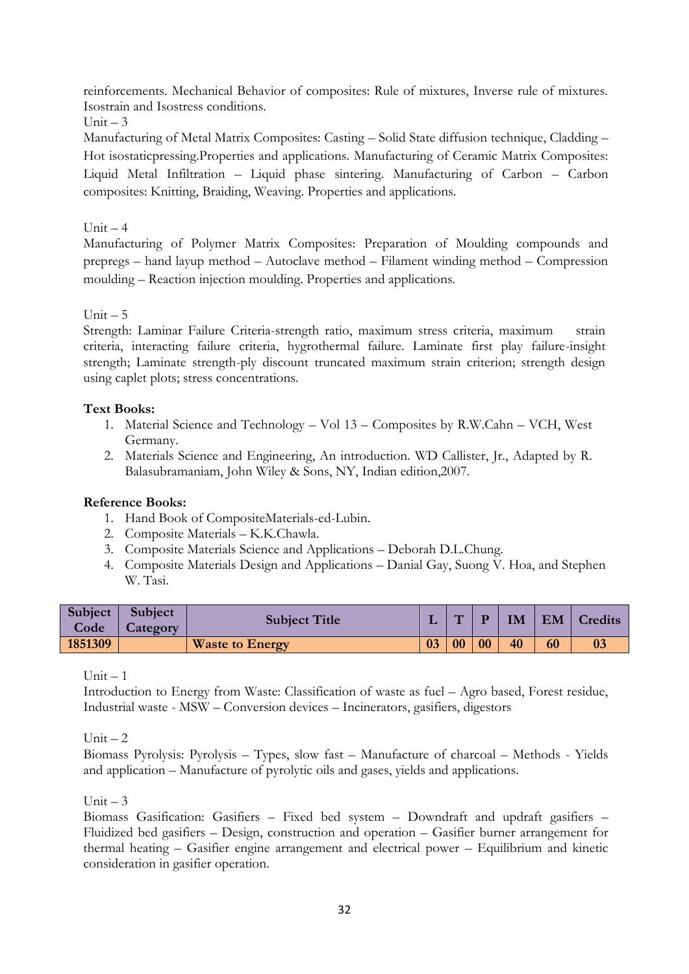reinforcements. Mechanical Behavior of composites: Rule of mixtures, Inverse rule of mixtures. Isostrain and Isostress conditions.

# $Unit = 3$

Manufacturing of Metal Matrix Composites: Casting – Solid State diffusion technique, Cladding – Hot isostaticpressing.Properties and applications. Manufacturing of Ceramic Matrix Composites: Liquid Metal Infiltration – Liquid phase sintering. Manufacturing of Carbon – Carbon composites: Knitting, Braiding, Weaving. Properties and applications.

# Unit  $-4$

Manufacturing of Polymer Matrix Composites: Preparation of Moulding compounds and prepregs – hand layup method – Autoclave method – Filament winding method – Compression moulding – Reaction injection moulding. Properties and applications.

 $Unit - 5$ 

Strength: Laminar Failure Criteria-strength ratio, maximum stress criteria, maximum strain criteria, interacting failure criteria, hygrothermal failure. Laminate first play failure-insight strength; Laminate strength-ply discount truncated maximum strain criterion; strength design using caplet plots; stress concentrations.

## **Text Books:**

- 1. Material Science and Technology Vol 13 Composites by R.W.Cahn VCH, West Germany.
- 2. Materials Science and Engineering, An introduction. WD Callister, Jr., Adapted by R. Balasubramaniam, John Wiley & Sons, NY, Indian edition,2007.

# **Reference Books:**

- 1. Hand Book of CompositeMaterials-ed-Lubin.
- 2. Composite Materials K.K.Chawla.
- 3. Composite Materials Science and Applications Deborah D.L.Chung.
- 4. Composite Materials Design and Applications Danial Gay, Suong V. Hoa, and Stephen W. Tasi.

| Subject | <b>Subject</b>  | <b>Subject Title</b>   |    | $\sqrt{2}$ | D  | IM | EM | Credits |
|---------|-----------------|------------------------|----|------------|----|----|----|---------|
| Code    | <b>Category</b> |                        |    |            |    |    |    |         |
| 1851309 |                 | <b>Waste to Energy</b> | 03 | 00         | 00 | 40 | 60 |         |

 $Unit - 1$ 

Introduction to Energy from Waste: Classification of waste as fuel – Agro based, Forest residue, Industrial waste - MSW – Conversion devices – Incinerators, gasifiers, digestors

Unit  $-2$ 

Biomass Pyrolysis: Pyrolysis – Types, slow fast – Manufacture of charcoal – Methods - Yields and application – Manufacture of pyrolytic oils and gases, yields and applications.

 $Unit = 3$ 

Biomass Gasification: Gasifiers – Fixed bed system – Downdraft and updraft gasifiers – Fluidized bed gasifiers – Design, construction and operation – Gasifier burner arrangement for thermal heating – Gasifier engine arrangement and electrical power – Equilibrium and kinetic consideration in gasifier operation.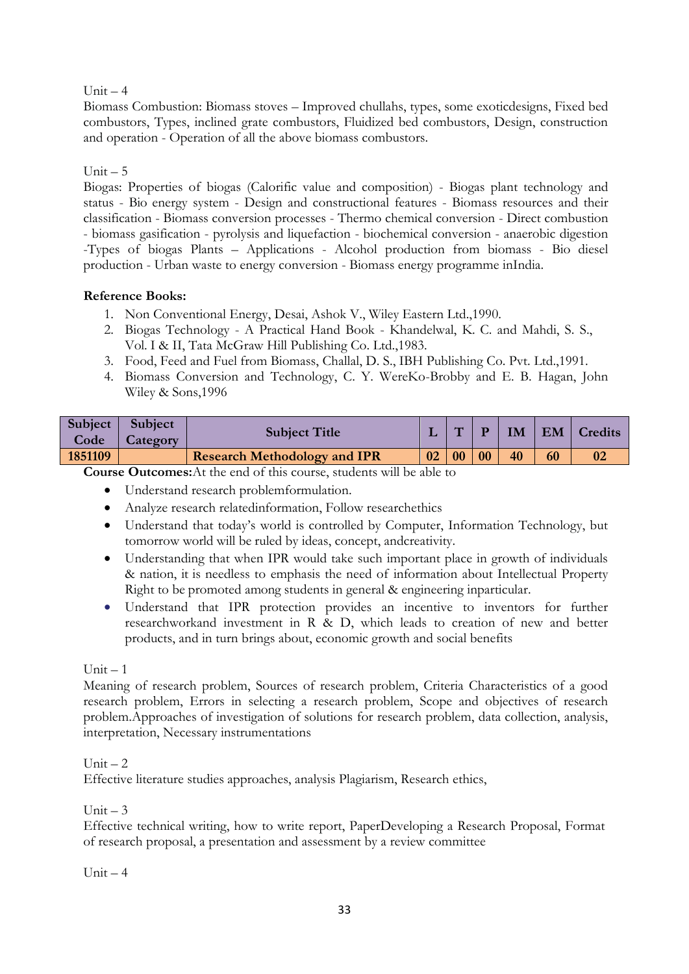## Unit  $-4$

Biomass Combustion: Biomass stoves – Improved chullahs, types, some exoticdesigns, Fixed bed combustors, Types, inclined grate combustors, Fluidized bed combustors, Design, construction and operation - Operation of all the above biomass combustors.

## $Unit - 5$

Biogas: Properties of biogas (Calorific value and composition) - Biogas plant technology and status - Bio energy system - Design and constructional features - Biomass resources and their classification - Biomass conversion processes - Thermo chemical conversion - Direct combustion - biomass gasification - pyrolysis and liquefaction - biochemical conversion - anaerobic digestion -Types of biogas Plants – Applications - Alcohol production from biomass - Bio diesel production - Urban waste to energy conversion - Biomass energy programme inIndia.

## **Reference Books:**

- 1. Non Conventional Energy, Desai, Ashok V., Wiley Eastern Ltd.,1990.
- 2. Biogas Technology A Practical Hand Book Khandelwal, K. C. and Mahdi, S. S., Vol. I & II, Tata McGraw Hill Publishing Co. Ltd.,1983.
- 3. Food, Feed and Fuel from Biomass, Challal, D. S., IBH Publishing Co. Pvt. Ltd.,1991.
- 4. Biomass Conversion and Technology, C. Y. WereKo-Brobby and E. B. Hagan, John Wiley & Sons,1996

| Subject  <br>Code | Subject<br>Category | <b>Subject Title</b>                |    | $\overline{\phantom{0}}$ |    | IM | EM | Credits |
|-------------------|---------------------|-------------------------------------|----|--------------------------|----|----|----|---------|
| 1851109           |                     | <b>Research Methodology and IPR</b> | 02 | 0 <sub>0</sub>           | 00 | 40 |    |         |
| $\sim$            |                     | .                                   |    |                          |    |    |    |         |

**Course Outcomes:**At the end of this course, students will be able to

- Understand research problemformulation.
- Analyze research relatedinformation, Follow researchethics
- Understand that today"s world is controlled by Computer, Information Technology, but tomorrow world will be ruled by ideas, concept, andcreativity.
- Understanding that when IPR would take such important place in growth of individuals & nation, it is needless to emphasis the need of information about Intellectual Property Right to be promoted among students in general & engineering inparticular.
- Understand that IPR protection provides an incentive to inventors for further researchworkand investment in R & D, which leads to creation of new and better products, and in turn brings about, economic growth and social benefits

### $Unit - 1$

Meaning of research problem, Sources of research problem, Criteria Characteristics of a good research problem, Errors in selecting a research problem, Scope and objectives of research problem.Approaches of investigation of solutions for research problem, data collection, analysis, interpretation, Necessary instrumentations

### Unit  $-2$

Effective literature studies approaches, analysis Plagiarism, Research ethics,

### Unit  $-3$

Effective technical writing, how to write report, PaperDeveloping a Research Proposal, Format of research proposal, a presentation and assessment by a review committee

### Unit  $-4$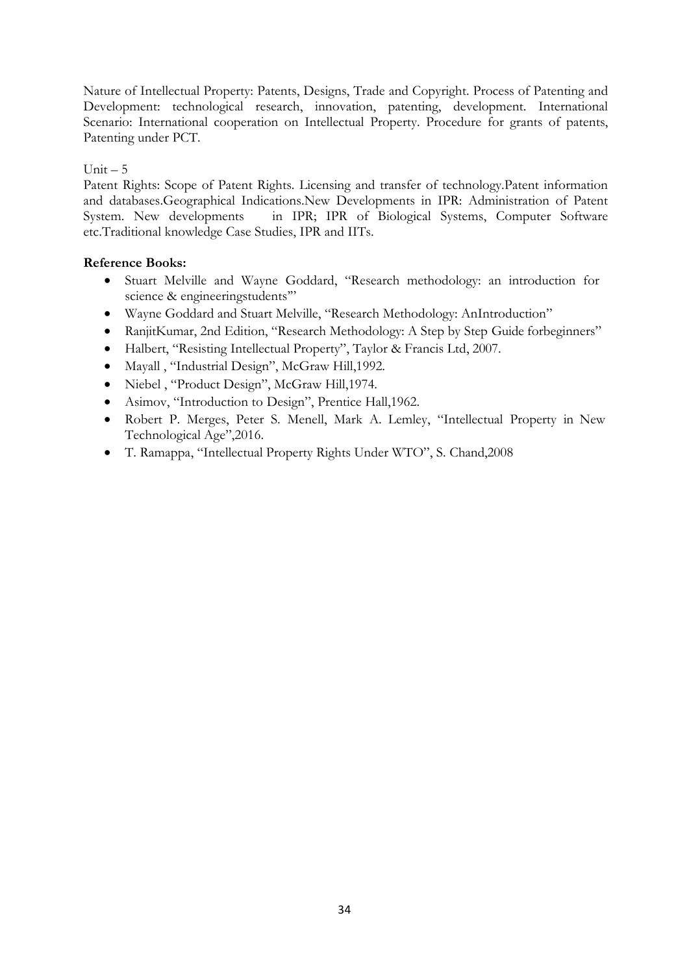Nature of Intellectual Property: Patents, Designs, Trade and Copyright. Process of Patenting and Development: technological research, innovation, patenting, development. International Scenario: International cooperation on Intellectual Property. Procedure for grants of patents, Patenting under PCT.

## Unit  $-5$

Patent Rights: Scope of Patent Rights. Licensing and transfer of technology.Patent information and databases.Geographical Indications.New Developments in IPR: Administration of Patent System. New developments in IPR; IPR of Biological Systems, Computer Software etc.Traditional knowledge Case Studies, IPR and IITs.

- Stuart Melville and Wayne Goddard, "Research methodology: an introduction for science & engineeringstudents"
- Wayne Goddard and Stuart Melville, "Research Methodology: AnIntroduction"
- RanjitKumar, 2nd Edition, "Research Methodology: A Step by Step Guide forbeginners"
- Halbert, "Resisting Intellectual Property", Taylor & Francis Ltd, 2007.
- Mayall , "Industrial Design", McGraw Hill,1992.
- Niebel , "Product Design", McGraw Hill,1974.
- Asimov, "Introduction to Design", Prentice Hall,1962.
- Robert P. Merges, Peter S. Menell, Mark A. Lemley, "Intellectual Property in New Technological Age",2016.
- T. Ramappa, "Intellectual Property Rights Under WTO", S. Chand,2008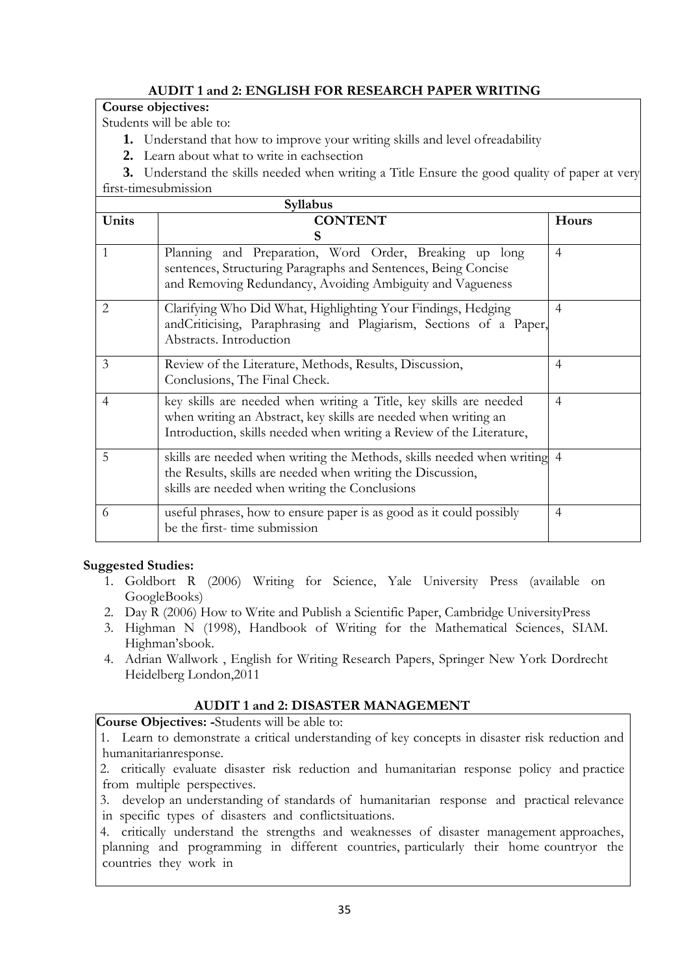# **AUDIT 1 and 2: ENGLISH FOR RESEARCH PAPER WRITING**

## **Course objectives:**

Students will be able to:

- **1.** Understand that how to improve your writing skills and level ofreadability
- **2.** Learn about what to write in eachsection

**3.** Understand the skills needed when writing a Title Ensure the good quality of paper at very first-timesubmission

|                | Syllabus                                                                                                                                                                                                     |                |  |  |  |  |  |  |  |  |
|----------------|--------------------------------------------------------------------------------------------------------------------------------------------------------------------------------------------------------------|----------------|--|--|--|--|--|--|--|--|
| Units          | <b>CONTENT</b>                                                                                                                                                                                               | <b>Hours</b>   |  |  |  |  |  |  |  |  |
|                | S                                                                                                                                                                                                            |                |  |  |  |  |  |  |  |  |
| 1              | Planning and Preparation, Word Order, Breaking up long<br>sentences, Structuring Paragraphs and Sentences, Being Concise<br>and Removing Redundancy, Avoiding Ambiguity and Vagueness                        | $\overline{4}$ |  |  |  |  |  |  |  |  |
| 2              | Clarifying Who Did What, Highlighting Your Findings, Hedging<br>andCriticising, Paraphrasing and Plagiarism, Sections of a Paper,<br>Abstracts. Introduction                                                 | 4              |  |  |  |  |  |  |  |  |
| $\overline{3}$ | Review of the Literature, Methods, Results, Discussion,<br>Conclusions, The Final Check.                                                                                                                     | $\overline{4}$ |  |  |  |  |  |  |  |  |
| $\overline{4}$ | key skills are needed when writing a Title, key skills are needed<br>when writing an Abstract, key skills are needed when writing an<br>Introduction, skills needed when writing a Review of the Literature, | $\overline{4}$ |  |  |  |  |  |  |  |  |
| 5              | skills are needed when writing the Methods, skills needed when writing 4<br>the Results, skills are needed when writing the Discussion,<br>skills are needed when writing the Conclusions                    |                |  |  |  |  |  |  |  |  |
| 6              | useful phrases, how to ensure paper is as good as it could possibly<br>be the first-time submission                                                                                                          | 4              |  |  |  |  |  |  |  |  |

# **Suggested Studies:**

- 1. Goldbort R (2006) Writing for Science, Yale University Press (available on GoogleBooks)
- 2. Day R (2006) How to Write and Publish a Scientific Paper, Cambridge UniversityPress
- 3. Highman N (1998), Handbook of Writing for the Mathematical Sciences, SIAM. Highman"sbook.
- 4. Adrian Wallwork , English for Writing Research Papers, Springer New York Dordrecht Heidelberg London,2011

# **AUDIT 1 and 2: DISASTER MANAGEMENT**

**Course Objectives: -**Students will be able to:

1. Learn to demonstrate a critical understanding of key concepts in disaster risk reduction and humanitarianresponse.

2. critically evaluate disaster risk reduction and humanitarian response policy and practice from multiple perspectives.

3. develop an understanding of standards of humanitarian response and practical relevance in specific types of disasters and conflictsituations.

4. critically understand the strengths and weaknesses of disaster management approaches, planning and programming in different countries, particularly their home countryor the countries they work in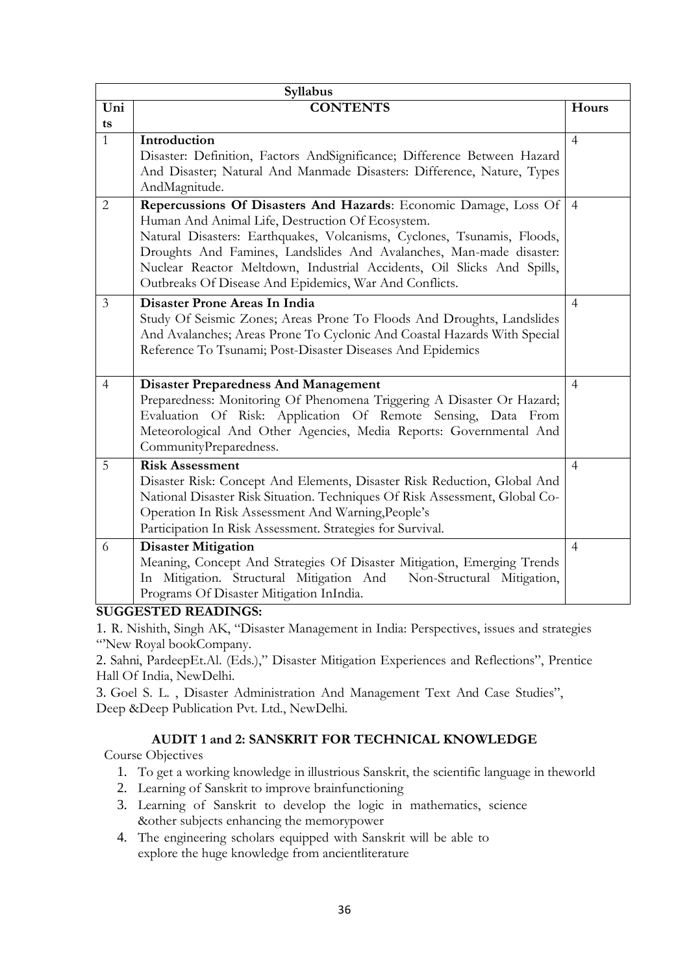|                | Syllabus                                                                                                                                                                                                                                                                                                                                                                                                   |                |
|----------------|------------------------------------------------------------------------------------------------------------------------------------------------------------------------------------------------------------------------------------------------------------------------------------------------------------------------------------------------------------------------------------------------------------|----------------|
| Uni            | <b>CONTENTS</b>                                                                                                                                                                                                                                                                                                                                                                                            | Hours          |
| ts             |                                                                                                                                                                                                                                                                                                                                                                                                            |                |
| $\mathbf{1}$   | Introduction<br>Disaster: Definition, Factors AndSignificance; Difference Between Hazard<br>And Disaster; Natural And Manmade Disasters: Difference, Nature, Types<br>AndMagnitude.                                                                                                                                                                                                                        | $\overline{4}$ |
| $\overline{2}$ | Repercussions Of Disasters And Hazards: Economic Damage, Loss Of<br>Human And Animal Life, Destruction Of Ecosystem.<br>Natural Disasters: Earthquakes, Volcanisms, Cyclones, Tsunamis, Floods,<br>Droughts And Famines, Landslides And Avalanches, Man-made disaster:<br>Nuclear Reactor Meltdown, Industrial Accidents, Oil Slicks And Spills,<br>Outbreaks Of Disease And Epidemics, War And Conflicts. | $\overline{4}$ |
| 3              | Disaster Prone Areas In India<br>Study Of Seismic Zones; Areas Prone To Floods And Droughts, Landslides<br>And Avalanches; Areas Prone To Cyclonic And Coastal Hazards With Special<br>Reference To Tsunami; Post-Disaster Diseases And Epidemics                                                                                                                                                          | $\overline{4}$ |
| 4              | <b>Disaster Preparedness And Management</b><br>Preparedness: Monitoring Of Phenomena Triggering A Disaster Or Hazard;<br>Evaluation Of Risk: Application Of Remote Sensing, Data From<br>Meteorological And Other Agencies, Media Reports: Governmental And<br>CommunityPreparedness.                                                                                                                      | $\overline{4}$ |
| 5              | <b>Risk Assessment</b><br>Disaster Risk: Concept And Elements, Disaster Risk Reduction, Global And<br>National Disaster Risk Situation. Techniques Of Risk Assessment, Global Co-<br>Operation In Risk Assessment And Warning, People's<br>Participation In Risk Assessment. Strategies for Survival.                                                                                                      | $\overline{4}$ |
| 6              | <b>Disaster Mitigation</b><br>Meaning, Concept And Strategies Of Disaster Mitigation, Emerging Trends<br>In Mitigation. Structural Mitigation And<br>Non-Structural Mitigation,<br>Programs Of Disaster Mitigation InIndia.                                                                                                                                                                                | $\overline{4}$ |

#### **SUGGESTED READINGS:**

1. R. Nishith, Singh AK, "Disaster Management in India: Perspectives, issues and strategies ""New Royal bookCompany.

2. Sahni, PardeepEt.Al. (Eds.)," Disaster Mitigation Experiences and Reflections", Prentice Hall Of India, NewDelhi.

3. Goel S. L. , Disaster Administration And Management Text And Case Studies", Deep &Deep Publication Pvt. Ltd., NewDelhi.

# **AUDIT 1 and 2: SANSKRIT FOR TECHNICAL KNOWLEDGE**

Course Objectives

- 1. To get a working knowledge in illustrious Sanskrit, the scientific language in theworld
- 2. Learning of Sanskrit to improve brainfunctioning
- 3. Learning of Sanskrit to develop the logic in mathematics, science &other subjects enhancing the memorypower
- 4. The engineering scholars equipped with Sanskrit will be able to explore the huge knowledge from ancientliterature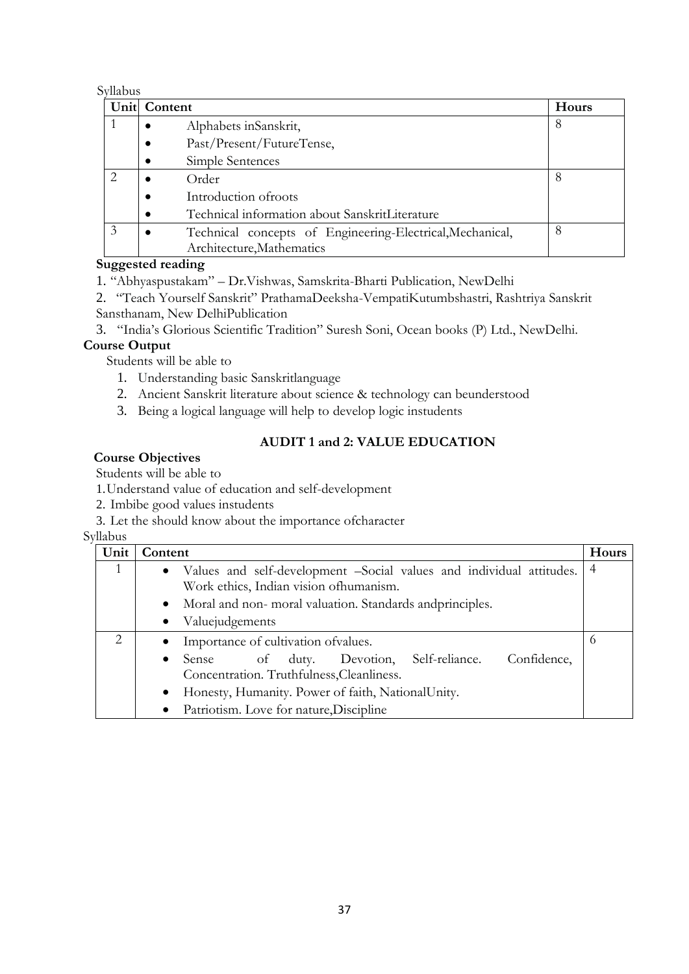#### Syllabus

|   | Unit Content                                              | <b>Hours</b> |
|---|-----------------------------------------------------------|--------------|
|   | Alphabets inSanskrit,                                     | 8            |
|   | Past/Present/FutureTense,<br>$\bullet$                    |              |
|   | Simple Sentences<br>$\bullet$                             |              |
|   | Order                                                     | 8            |
|   | Introduction of roots                                     |              |
|   | Technical information about SanskritLiterature            |              |
| 3 | Technical concepts of Engineering-Electrical, Mechanical, | 8            |
|   | Architecture, Mathematics                                 |              |

## **Suggested reading**

- 1. "Abhyaspustakam" Dr.Vishwas, Samskrita-Bharti Publication, NewDelhi
- 2. "Teach Yourself Sanskrit" PrathamaDeeksha-VempatiKutumbshastri, Rashtriya Sanskrit Sansthanam, New DelhiPublication
- 3. "India"s Glorious Scientific Tradition" Suresh Soni, Ocean books (P) Ltd., NewDelhi.

# **Course Output**

Students will be able to

- 1. Understanding basic Sanskritlanguage
- 2. Ancient Sanskrit literature about science & technology can beunderstood
- 3. Being a logical language will help to develop logic instudents

## **AUDIT 1 and 2: VALUE EDUCATION**

## **Course Objectives**

Students will be able to

- 1.Understand value of education and self-development
- 2. Imbibe good values instudents
- 3. Let the should know about the importance ofcharacter

Syllabus

| Unit                        | Content                                                                                                             | Hours |
|-----------------------------|---------------------------------------------------------------------------------------------------------------------|-------|
|                             | • Values and self-development -Social values and individual attitudes.<br>Work ethics, Indian vision of humanism.   | 4     |
|                             | Moral and non- moral valuation. Standards and principles.<br>$\bullet$                                              |       |
|                             | Valuejudgements<br>$\bullet$                                                                                        |       |
| $\mathcal{D}_{\mathcal{L}}$ | Importance of cultivation of values.<br>$\bullet$                                                                   | O     |
|                             | Confidence,<br>of duty. Devotion, Self-reliance.<br>Sense<br>$\bullet$<br>Concentration. Truthfulness, Cleanliness. |       |
|                             | Honesty, Humanity. Power of faith, NationalUnity.<br>$\bullet$                                                      |       |
|                             | Patriotism. Love for nature, Discipline<br>٠                                                                        |       |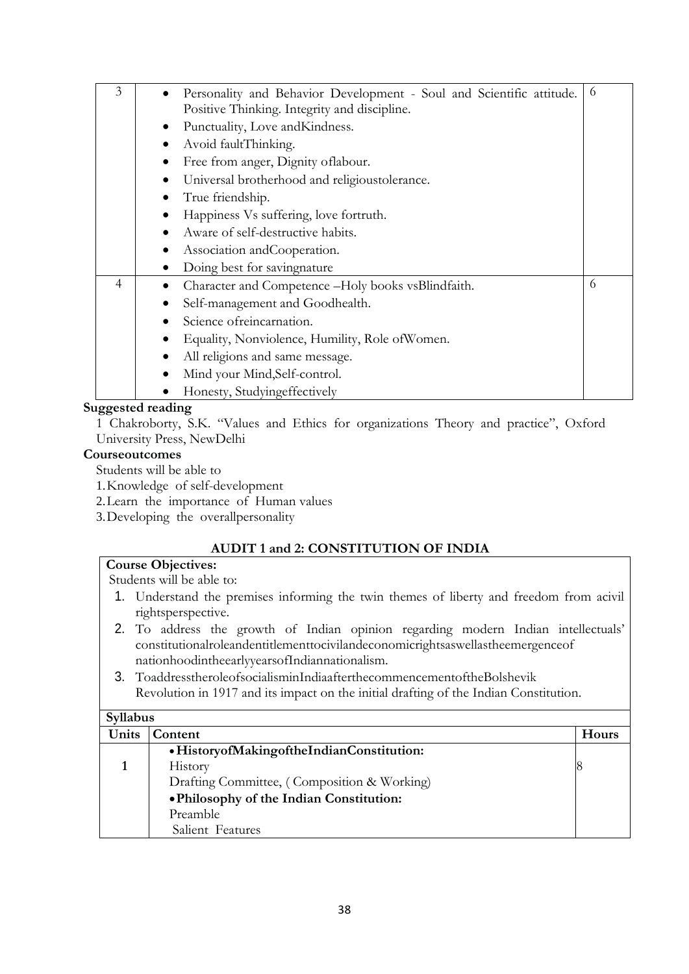| 3 | Personality and Behavior Development - Soul and Scientific attitude. | 6 |
|---|----------------------------------------------------------------------|---|
|   | Positive Thinking. Integrity and discipline.                         |   |
|   | Punctuality, Love and Kindness.<br>$\bullet$                         |   |
|   | Avoid faultThinking.<br>$\bullet$                                    |   |
|   | Free from anger, Dignity of labour.                                  |   |
|   | Universal brotherhood and religious tolerance.                       |   |
|   | True friendship.                                                     |   |
|   | Happiness Vs suffering, love fortruth.                               |   |
|   | Aware of self-destructive habits.<br>$\bullet$                       |   |
|   | Association and Cooperation.<br>$\bullet$                            |   |
|   | Doing best for savingnature                                          |   |
| 4 | Character and Competence -Holy books vsBlindfaith.                   | 6 |
|   | Self-management and Goodhealth.                                      |   |
|   | Science ofreincarnation.                                             |   |
|   | Equality, Nonviolence, Humility, Role of Women.<br>$\bullet$         |   |
|   | All religions and same message.<br>$\bullet$                         |   |
|   | Mind your Mind, Self-control.                                        |   |
|   | Honesty, Studyingeffectively                                         |   |

## **Suggested reading**

1 Chakroborty, S.K. "Values and Ethics for organizations Theory and practice", Oxford University Press, NewDelhi

### **Courseoutcomes**

Students will be able to

1.Knowledge of self-development

2.Learn the importance of Human values

3.Developing the overallpersonality

# **AUDIT 1 and 2: CONSTITUTION OF INDIA**

# **Course Objectives:**

Students will be able to:

- 1. Understand the premises informing the twin themes of liberty and freedom from acivil rightsperspective.
- 2. To address the growth of Indian opinion regarding modern Indian intellectuals" constitutionalroleandentitlementtocivilandeconomicrightsaswellastheemergenceof nationhoodintheearlyyearsofIndiannationalism.
- 3. ToaddresstheroleofsocialisminIndiaafterthecommencementoftheBolshevik Revolution in 1917 and its impact on the initial drafting of the Indian Constitution.

| <b>Syllabus</b> |                                             |       |
|-----------------|---------------------------------------------|-------|
| Units           | Content                                     | Hours |
|                 | • HistoryofMakingoftheIndianConstitution:   |       |
|                 | History                                     |       |
|                 | Drafting Committee, (Composition & Working) |       |
|                 | • Philosophy of the Indian Constitution:    |       |
|                 | Preamble                                    |       |
|                 | Salient Features                            |       |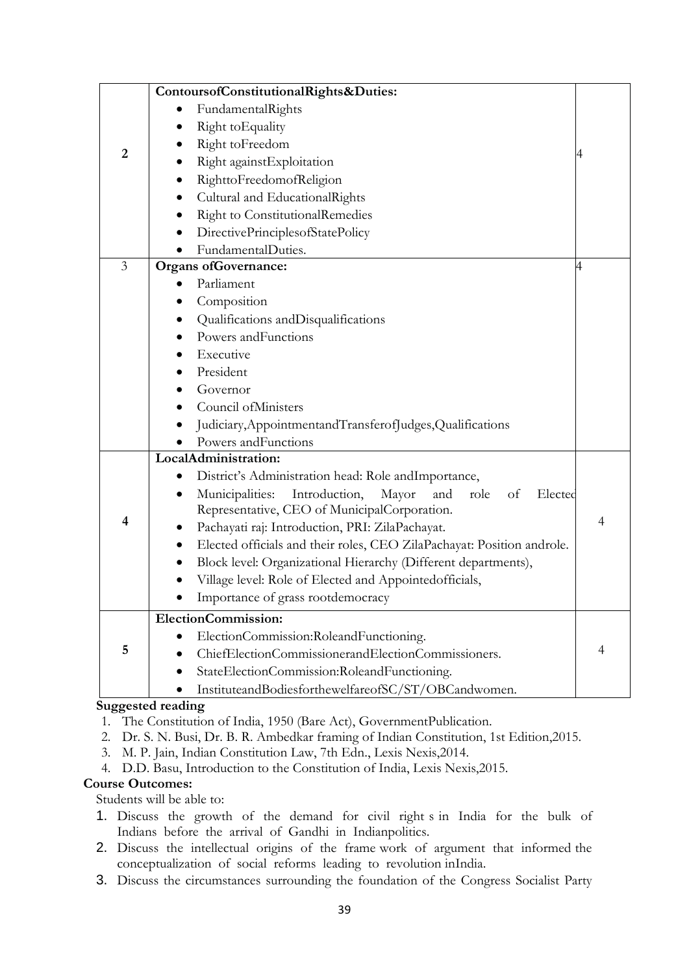| FundamentalRights<br>Right to Equality                                                 |   |
|----------------------------------------------------------------------------------------|---|
|                                                                                        |   |
|                                                                                        |   |
| Right toFreedom<br>$\overline{2}$                                                      |   |
| Right against Exploitation                                                             |   |
| RighttoFreedomofReligion<br>$\bullet$                                                  |   |
| Cultural and EducationalRights                                                         |   |
| Right to ConstitutionalRemedies                                                        |   |
| DirectivePrinciplesofStatePolicy                                                       |   |
| FundamentalDuties.                                                                     |   |
| $\overline{3}$<br><b>Organs of Governance:</b><br>4                                    |   |
| Parliament                                                                             |   |
| Composition<br>$\bullet$                                                               |   |
| Qualifications and Disqualifications                                                   |   |
| Powers and Functions                                                                   |   |
| Executive                                                                              |   |
| President                                                                              |   |
| Governor                                                                               |   |
| Council of Ministers                                                                   |   |
| Judiciary, AppointmentandTransferofJudges, Qualifications                              |   |
| Powers and Functions                                                                   |   |
| LocalAdministration:                                                                   |   |
| District's Administration head: Role andImportance,<br>$\bullet$                       |   |
| Introduction,<br>Municipalities:<br>Mayor<br>and<br>Elected<br>role<br>of<br>$\bullet$ |   |
| Representative, CEO of MunicipalCorporation.                                           |   |
| 4<br>Pachayati raj: Introduction, PRI: ZilaPachayat.<br>$\bullet$                      | 4 |
| Elected officials and their roles, CEO ZilaPachayat: Position androle.                 |   |
| Block level: Organizational Hierarchy (Different departments),                         |   |
| Village level: Role of Elected and Appointedofficials,                                 |   |
| Importance of grass rootdemocracy                                                      |   |
| ElectionCommission:                                                                    |   |
| ElectionCommission:RoleandFunctioning.                                                 |   |
| 5<br>ChiefElectionCommissionerandElectionCommissioners.                                | 4 |
| StateElectionCommission:RoleandFunctioning.                                            |   |
| InstituteandBodiesforthewelfareofSC/ST/OBCandwomen.                                    |   |

#### **Suggested reading**

- 1. The Constitution of India, 1950 (Bare Act), GovernmentPublication.
- 2. Dr. S. N. Busi, Dr. B. R. Ambedkar framing of Indian Constitution, 1st Edition,2015.
- 3. M. P. Jain, Indian Constitution Law, 7th Edn., Lexis Nexis,2014.
- 4. D.D. Basu, Introduction to the Constitution of India, Lexis Nexis,2015.

### **Course Outcomes:**

Students will be able to:

- 1. Discuss the growth of the demand for civil right s in India for the bulk of Indians before the arrival of Gandhi in Indianpolitics.
- 2. Discuss the intellectual origins of the frame work of argument that informed the conceptualization of social reforms leading to revolution inIndia.
- 3. Discuss the circumstances surrounding the foundation of the Congress Socialist Party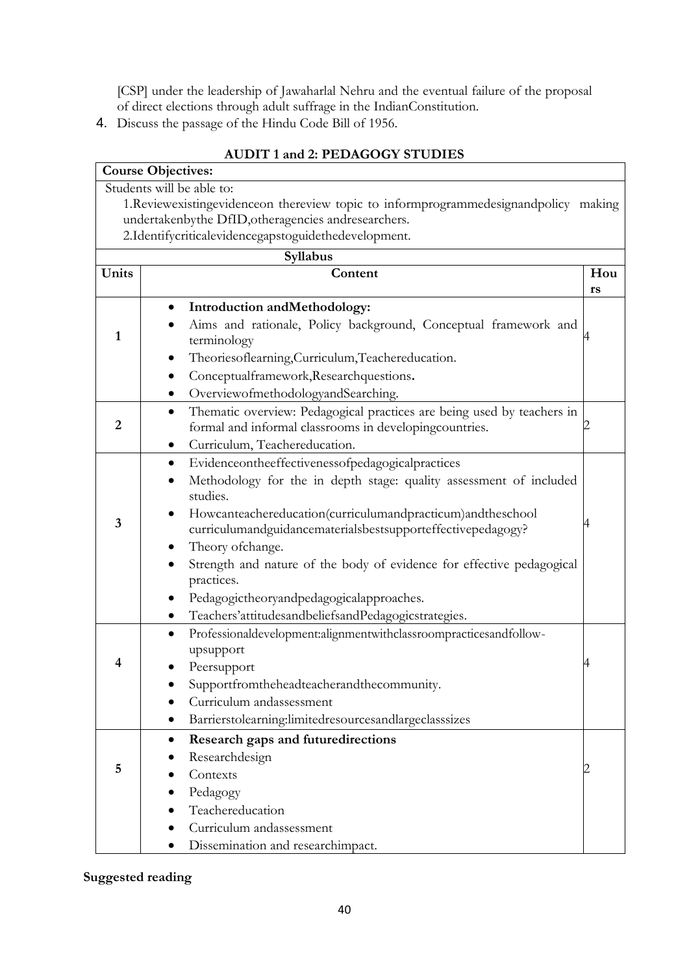[CSP] under the leadership of Jawaharlal Nehru and the eventual failure of the proposal of direct elections through adult suffrage in the IndianConstitution.

4. Discuss the passage of the Hindu Code Bill of 1956.

|                | <b>Course Objectives:</b>                                                                 |     |
|----------------|-------------------------------------------------------------------------------------------|-----|
|                | Students will be able to:                                                                 |     |
|                | 1. Reviewexisting evidence on thereview topic to inform programmed esignand policy making |     |
|                | undertakenbythe DfID, otheragencies andresearchers.                                       |     |
|                | 2.Identifycriticalevidencegapstoguidethedevelopment.                                      |     |
|                | Syllabus                                                                                  |     |
| Units          | Content                                                                                   | Hou |
|                |                                                                                           | rs  |
|                | Introduction and Methodology:                                                             |     |
|                | Aims and rationale, Policy background, Conceptual framework and                           |     |
| 1              | terminology                                                                               |     |
|                | Theoriesoflearning, Curriculum, Teachereducation.                                         |     |
|                | Conceptualframework, Researchquestions.                                                   |     |
|                | OverviewofmethodologyandSearching.<br>$\bullet$                                           |     |
|                | Thematic overview: Pedagogical practices are being used by teachers in<br>$\bullet$       |     |
| $\overline{2}$ | formal and informal classrooms in developingcountries.                                    |     |
|                | Curriculum, Teachereducation.                                                             |     |
|                | Evidenceontheeffectivenessofpedagogicalpractices<br>٠                                     |     |
|                | Methodology for the in depth stage: quality assessment of included                        |     |
|                | studies.                                                                                  |     |
| 3              | Howcanteachereducation(curriculumandpracticum)andtheschool                                |     |
|                | curriculumandguidancematerialsbestsupporteffectivepedagogy?                               |     |
|                | Theory of change.                                                                         |     |
|                | Strength and nature of the body of evidence for effective pedagogical                     |     |
|                | practices.                                                                                |     |
|                | Pedagogictheoryandpedagogicalapproaches.                                                  |     |
|                | Teachers'attitudesandbeliefsandPedagogicstrategies.<br>$\bullet$                          |     |
|                | Professionaldevelopment:alignmentwithclassroompracticesandfollow-                         |     |
|                | upsupport                                                                                 |     |
| 4              | Peersupport                                                                               |     |
|                | Supportfromtheheadteacherandthecommunity.                                                 |     |
|                | Curriculum andassessment                                                                  |     |
|                | Barrierstolearning:limitedresourcesandlargeclasssizes<br>$\bullet$                        |     |
|                | Research gaps and futuredirections<br>$\bullet$                                           |     |
|                | Researchdesign                                                                            |     |
| 5              | Contexts                                                                                  |     |
|                | Pedagogy                                                                                  |     |
|                | Teachereducation                                                                          |     |
|                | Curriculum andassessment                                                                  |     |
|                | Dissemination and researchimpact.                                                         |     |

# **AUDIT 1 and 2: PEDAGOGY STUDIES**

# **Suggested reading**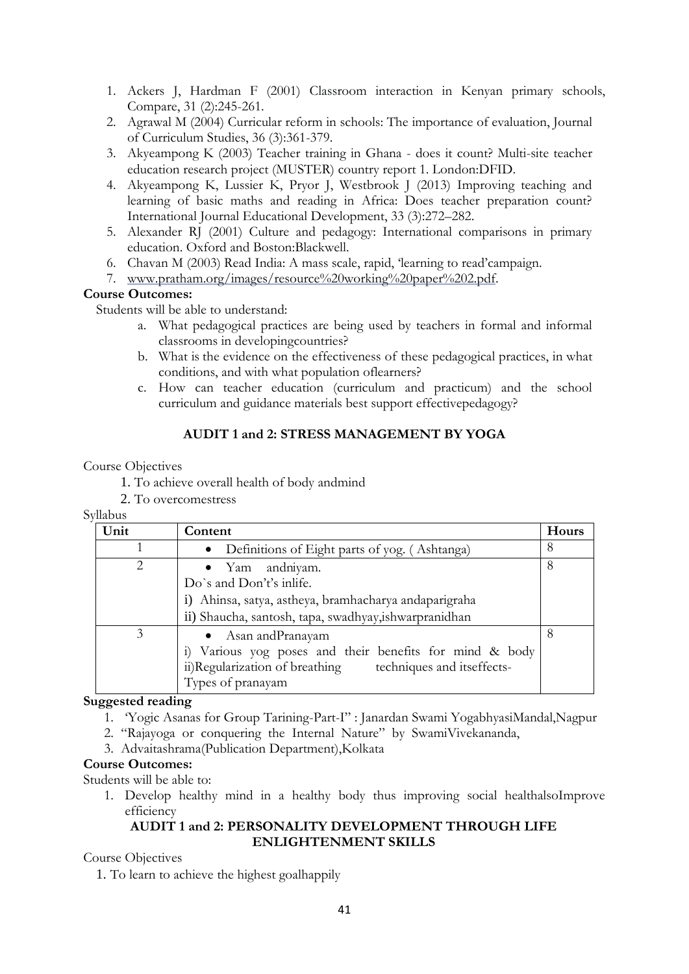- 1. Ackers J, Hardman F (2001) Classroom interaction in Kenyan primary schools, Compare, 31 (2):245-261.
- 2. Agrawal M (2004) Curricular reform in schools: The importance of evaluation, Journal of Curriculum Studies, 36 (3):361-379.
- 3. Akyeampong K (2003) Teacher training in Ghana does it count? Multi-site teacher education research project (MUSTER) country report 1. London:DFID.
- 4. Akyeampong K, Lussier K, Pryor J, Westbrook J (2013) Improving teaching and learning of basic maths and reading in Africa: Does teacher preparation count? International Journal Educational Development, 33 (3):272–282.
- 5. Alexander RJ (2001) Culture and pedagogy: International comparisons in primary education. Oxford and Boston:Blackwell.
- 6. Chavan M (2003) Read India: A mass scale, rapid, "learning to read"campaign.
- 7. [www.pratham.org/images/resource%20working%20paper%202.pdf.](http://www.pratham.org/images/resource%20working%20paper%202.pdf)

## **Course Outcomes:**

Students will be able to understand:

- a. What pedagogical practices are being used by teachers in formal and informal classrooms in developingcountries?
- b. What is the evidence on the effectiveness of these pedagogical practices, in what conditions, and with what population oflearners?
- c. How can teacher education (curriculum and practicum) and the school curriculum and guidance materials best support effectivepedagogy?

# **AUDIT 1 and 2: STRESS MANAGEMENT BY YOGA**

### Course Objectives

1. To achieve overall health of body andmind

2. To overcomestress

Syllabus

| Unit                          | Content                                                                                                                                                          | <b>Hours</b> |
|-------------------------------|------------------------------------------------------------------------------------------------------------------------------------------------------------------|--------------|
|                               | • Definitions of Eight parts of yog. (Ashtanga)                                                                                                                  | 8            |
| $\mathfrak{D}_{\mathfrak{p}}$ | • Yam andniyam.<br>Do's and Don't's inlife.<br>i) Ahinsa, satya, astheya, bramhacharya andaparigraha<br>ii) Shaucha, santosh, tapa, swadhyay,ishwarpranidhan     | 8            |
| 3                             | • Asan and Pranayam<br>i) Various yog poses and their benefits for mind & body<br>ii)Regularization of breathing techniques and itseffects-<br>Types of pranayam | 8            |

### **Suggested reading**

- 1. "Yogic Asanas for Group Tarining-Part-I" : Janardan Swami YogabhyasiMandal,Nagpur
- 2. "Rajayoga or conquering the Internal Nature" by SwamiVivekananda,
- 3. Advaitashrama(Publication Department),Kolkata

### **Course Outcomes:**

Students will be able to:

1. Develop healthy mind in a healthy body thus improving social healthalsoImprove efficiency

## **AUDIT 1 and 2: PERSONALITY DEVELOPMENT THROUGH LIFE ENLIGHTENMENT SKILLS**

Course Objectives

1. To learn to achieve the highest goalhappily